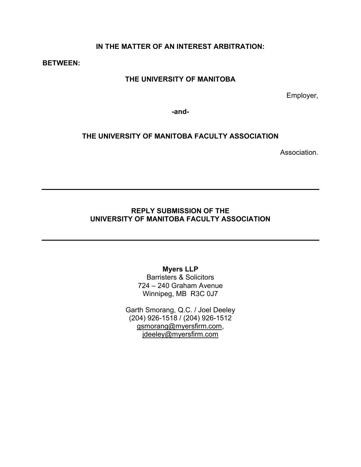### **IN THE MATTER OF AN INTEREST ARBITRATION:**

**BETWEEN:** 

#### **THE UNIVERSITY OF MANITOBA**

Employer,

**-and-**

#### **THE UNIVERSITY OF MANITOBA FACULTY ASSOCIATION**

Association.

#### **REPLY SUBMISSION OF THE UNIVERSITY OF MANITOBA FACULTY ASSOCIATION**

#### **Myers LLP**

Barristers & Solicitors 724 – 240 Graham Avenue Winnipeg, MB R3C 0J7

Garth Smorang, Q.C. / Joel Deeley (204) 926-1518 / (204) 926-1512 [gsmorang@myersfirm.com,](mailto:gsmorang@myersfirm.com) jdeeley@myersfirm.com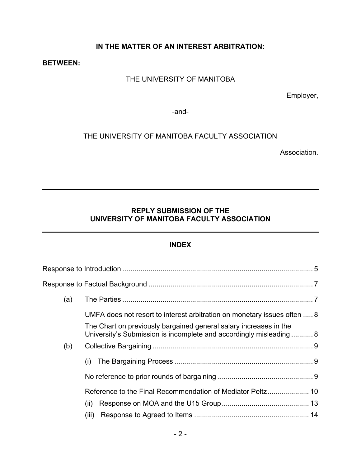### **IN THE MATTER OF AN INTEREST ARBITRATION:**

#### **BETWEEN:**

# THE UNIVERSITY OF MANITOBA

Employer,

-and-

### THE UNIVERSITY OF MANITOBA FACULTY ASSOCIATION

Association.

#### **REPLY SUBMISSION OF THE UNIVERSITY OF MANITOBA FACULTY ASSOCIATION**

#### **INDEX**

| (a) |                                                                                                                                          |  |
|-----|------------------------------------------------------------------------------------------------------------------------------------------|--|
|     | UMFA does not resort to interest arbitration on monetary issues often  8                                                                 |  |
|     | The Chart on previously bargained general salary increases in the<br>University's Submission is incomplete and accordingly misleading  8 |  |
| (b) |                                                                                                                                          |  |
|     | (i)                                                                                                                                      |  |
|     |                                                                                                                                          |  |
|     |                                                                                                                                          |  |
|     | (ii)                                                                                                                                     |  |
|     | (iii)                                                                                                                                    |  |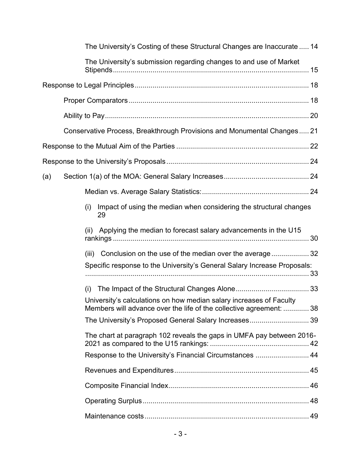| The University's Costing of these Structural Changes are Inaccurate  14                                                                    |  |
|--------------------------------------------------------------------------------------------------------------------------------------------|--|
| The University's submission regarding changes to and use of Market                                                                         |  |
|                                                                                                                                            |  |
|                                                                                                                                            |  |
|                                                                                                                                            |  |
| Conservative Process, Breakthrough Provisions and Monumental Changes 21                                                                    |  |
|                                                                                                                                            |  |
|                                                                                                                                            |  |
| (a)                                                                                                                                        |  |
|                                                                                                                                            |  |
| Impact of using the median when considering the structural changes<br>(i)<br>29                                                            |  |
| Applying the median to forecast salary advancements in the U15<br>(ii)                                                                     |  |
| Conclusion on the use of the median over the average32<br>(iii)                                                                            |  |
| Specific response to the University's General Salary Increase Proposals:                                                                   |  |
| (i)                                                                                                                                        |  |
| University's calculations on how median salary increases of Faculty<br>Members will advance over the life of the collective agreement:  38 |  |
| The University's Proposed General Salary Increases 39                                                                                      |  |
| The chart at paragraph 102 reveals the gaps in UMFA pay between 2016-                                                                      |  |
| Response to the University's Financial Circumstances  44                                                                                   |  |
|                                                                                                                                            |  |
|                                                                                                                                            |  |
|                                                                                                                                            |  |
|                                                                                                                                            |  |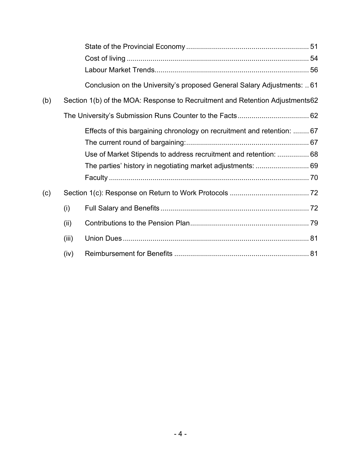|     |       | Conclusion on the University's proposed General Salary Adjustments: 61       |  |
|-----|-------|------------------------------------------------------------------------------|--|
| (b) |       | Section 1(b) of the MOA: Response to Recruitment and Retention Adjustments62 |  |
|     |       |                                                                              |  |
|     |       | Effects of this bargaining chronology on recruitment and retention:  67      |  |
|     |       |                                                                              |  |
|     |       | Use of Market Stipends to address recruitment and retention:  68             |  |
|     |       | The parties' history in negotiating market adjustments:  69                  |  |
|     |       |                                                                              |  |
| (c) |       |                                                                              |  |
|     | (i)   |                                                                              |  |
|     | (ii)  |                                                                              |  |
|     | (iii) |                                                                              |  |
|     | (iv)  |                                                                              |  |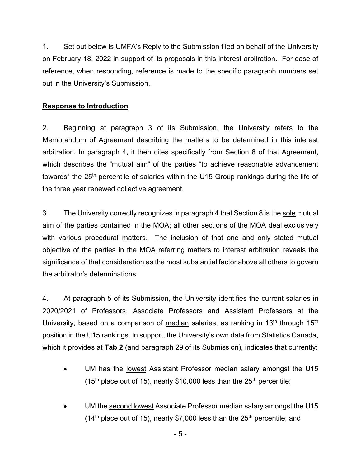1. Set out below is UMFA's Reply to the Submission filed on behalf of the University on February 18, 2022 in support of its proposals in this interest arbitration. For ease of reference, when responding, reference is made to the specific paragraph numbers set out in the University's Submission.

### <span id="page-4-0"></span>**Response to Introduction**

2. Beginning at paragraph 3 of its Submission, the University refers to the Memorandum of Agreement describing the matters to be determined in this interest arbitration. In paragraph 4, it then cites specifically from Section 8 of that Agreement, which describes the "mutual aim" of the parties "to achieve reasonable advancement towards" the 25<sup>th</sup> percentile of salaries within the U15 Group rankings during the life of the three year renewed collective agreement.

3. The University correctly recognizes in paragraph 4 that Section 8 is the sole mutual aim of the parties contained in the MOA; all other sections of the MOA deal exclusively with various procedural matters. The inclusion of that one and only stated mutual objective of the parties in the MOA referring matters to interest arbitration reveals the significance of that consideration as the most substantial factor above all others to govern the arbitrator's determinations.

4. At paragraph 5 of its Submission, the University identifies the current salaries in 2020/2021 of Professors, Associate Professors and Assistant Professors at the University, based on a comparison of median salaries, as ranking in 13<sup>th</sup> through 15<sup>th</sup> position in the U15 rankings. In support, the University's own data from Statistics Canada, which it provides at **Tab 2** (and paragraph 29 of its Submission), indicates that currently:

- UM has the lowest Assistant Professor median salary amongst the U15 (15<sup>th</sup> place out of 15), nearly \$10,000 less than the  $25<sup>th</sup>$  percentile;
- UM the second lowest Associate Professor median salary amongst the U15 (14<sup>th</sup> place out of 15), nearly \$7,000 less than the 25<sup>th</sup> percentile; and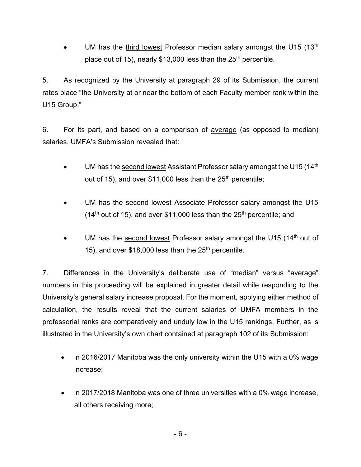UM has the third lowest Professor median salary amongst the U15  $(13<sup>th</sup>$ place out of 15), nearly \$13,000 less than the  $25<sup>th</sup>$  percentile.

5. As recognized by the University at paragraph 29 of its Submission, the current rates place "the University at or near the bottom of each Faculty member rank within the U15 Group."

6. For its part, and based on a comparison of average (as opposed to median) salaries, UMFA's Submission revealed that:

- UM has the second lowest Assistant Professor salary amongst the U15 (14<sup>th</sup> out of 15), and over  $$11,000$  less than the 25<sup>th</sup> percentile;
- UM has the second lowest Associate Professor salary amongst the U15 (14<sup>th</sup> out of 15), and over \$11,000 less than the 25<sup>th</sup> percentile; and
- UM has the second lowest Professor salary amongst the U15 (14th out of 15), and over  $$18,000$  less than the  $25<sup>th</sup>$  percentile.

7. Differences in the University's deliberate use of "median" versus "average" numbers in this proceeding will be explained in greater detail while responding to the University's general salary increase proposal. For the moment, applying either method of calculation, the results reveal that the current salaries of UMFA members in the professorial ranks are comparatively and unduly low in the U15 rankings. Further, as is illustrated in the University's own chart contained at paragraph 102 of its Submission:

- in 2016/2017 Manitoba was the only university within the U15 with a 0% wage increase;
- in 2017/2018 Manitoba was one of three universities with a 0% wage increase, all others receiving more;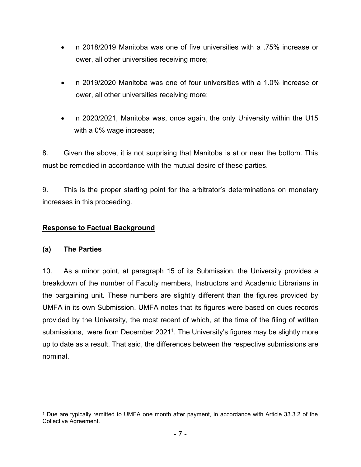- in 2018/2019 Manitoba was one of five universities with a .75% increase or lower, all other universities receiving more;
- in 2019/2020 Manitoba was one of four universities with a 1.0% increase or lower, all other universities receiving more;
- in 2020/2021, Manitoba was, once again, the only University within the U15 with a 0% wage increase;

8. Given the above, it is not surprising that Manitoba is at or near the bottom. This must be remedied in accordance with the mutual desire of these parties.

9. This is the proper starting point for the arbitrator's determinations on monetary increases in this proceeding.

### <span id="page-6-0"></span>**Response to Factual Background**

### <span id="page-6-1"></span>**(a) The Parties**

10. As a minor point, at paragraph 15 of its Submission, the University provides a breakdown of the number of Faculty members, Instructors and Academic Librarians in the bargaining unit. These numbers are slightly different than the figures provided by UMFA in its own Submission. UMFA notes that its figures were based on dues records provided by the University, the most recent of which, at the time of the filing of written submissions, were from December 2021<sup>1</sup>. The University's figures may be slightly more up to date as a result. That said, the differences between the respective submissions are nominal.

<sup>1</sup> Due are typically remitted to UMFA one month after payment, in accordance with Article 33.3.2 of the Collective Agreement.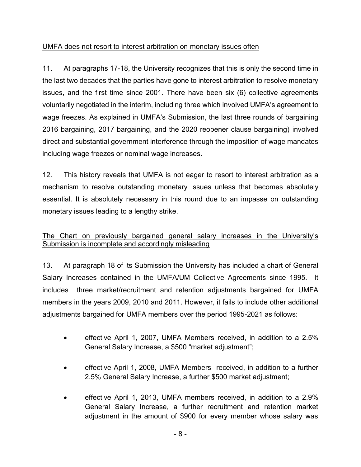# <span id="page-7-0"></span>UMFA does not resort to interest arbitration on monetary issues often

11. At paragraphs 17-18, the University recognizes that this is only the second time in the last two decades that the parties have gone to interest arbitration to resolve monetary issues, and the first time since 2001. There have been six (6) collective agreements voluntarily negotiated in the interim, including three which involved UMFA's agreement to wage freezes. As explained in UMFA's Submission, the last three rounds of bargaining 2016 bargaining, 2017 bargaining, and the 2020 reopener clause bargaining) involved direct and substantial government interference through the imposition of wage mandates including wage freezes or nominal wage increases.

12. This history reveals that UMFA is not eager to resort to interest arbitration as a mechanism to resolve outstanding monetary issues unless that becomes absolutely essential. It is absolutely necessary in this round due to an impasse on outstanding monetary issues leading to a lengthy strike.

### <span id="page-7-1"></span>The Chart on previously bargained general salary increases in the University's Submission is incomplete and accordingly misleading

13. At paragraph 18 of its Submission the University has included a chart of General Salary Increases contained in the UMFA/UM Collective Agreements since 1995. It includes three market/recruitment and retention adjustments bargained for UMFA members in the years 2009, 2010 and 2011. However, it fails to include other additional adjustments bargained for UMFA members over the period 1995-2021 as follows:

- effective April 1, 2007, UMFA Members received, in addition to a 2.5% General Salary Increase, a \$500 "market adjustment";
- effective April 1, 2008, UMFA Members received, in addition to a further 2.5% General Salary Increase, a further \$500 market adjustment;
- effective April 1, 2013, UMFA members received, in addition to a 2.9% General Salary Increase, a further recruitment and retention market adjustment in the amount of \$900 for every member whose salary was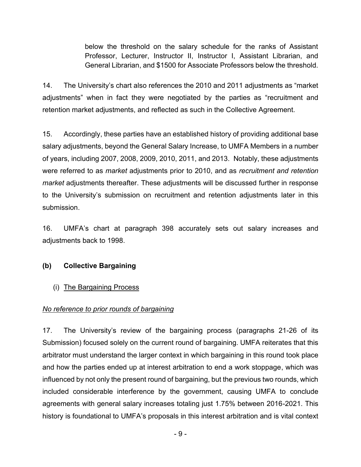below the threshold on the salary schedule for the ranks of Assistant Professor, Lecturer, Instructor II, Instructor I, Assistant Librarian, and General Librarian, and \$1500 for Associate Professors below the threshold.

14. The University's chart also references the 2010 and 2011 adjustments as "market adjustments" when in fact they were negotiated by the parties as "recruitment and retention market adjustments, and reflected as such in the Collective Agreement.

15. Accordingly, these parties have an established history of providing additional base salary adjustments, beyond the General Salary Increase, to UMFA Members in a number of years, including 2007, 2008, 2009, 2010, 2011, and 2013. Notably, these adjustments were referred to as *market* adjustments prior to 2010, and as *recruitment and retention market* adjustments thereafter. These adjustments will be discussed further in response to the University's submission on recruitment and retention adjustments later in this submission.

16. UMFA's chart at paragraph 398 accurately sets out salary increases and adjustments back to 1998.

# <span id="page-8-0"></span>**(b) Collective Bargaining**

<span id="page-8-1"></span>(i) The Bargaining Process

### <span id="page-8-2"></span>*No reference to prior rounds of bargaining*

17. The University's review of the bargaining process (paragraphs 21-26 of its Submission) focused solely on the current round of bargaining. UMFA reiterates that this arbitrator must understand the larger context in which bargaining in this round took place and how the parties ended up at interest arbitration to end a work stoppage, which was influenced by not only the present round of bargaining, but the previous two rounds, which included considerable interference by the government, causing UMFA to conclude agreements with general salary increases totaling just 1.75% between 2016-2021. This history is foundational to UMFA's proposals in this interest arbitration and is vital context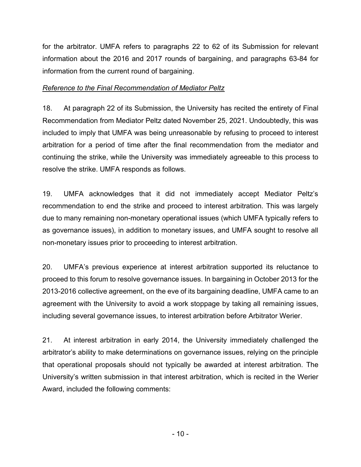for the arbitrator. UMFA refers to paragraphs 22 to 62 of its Submission for relevant information about the 2016 and 2017 rounds of bargaining, and paragraphs 63-84 for information from the current round of bargaining.

### <span id="page-9-0"></span>*Reference to the Final Recommendation of Mediator Peltz*

18. At paragraph 22 of its Submission, the University has recited the entirety of Final Recommendation from Mediator Peltz dated November 25, 2021. Undoubtedly, this was included to imply that UMFA was being unreasonable by refusing to proceed to interest arbitration for a period of time after the final recommendation from the mediator and continuing the strike, while the University was immediately agreeable to this process to resolve the strike. UMFA responds as follows.

19. UMFA acknowledges that it did not immediately accept Mediator Peltz's recommendation to end the strike and proceed to interest arbitration. This was largely due to many remaining non-monetary operational issues (which UMFA typically refers to as governance issues), in addition to monetary issues, and UMFA sought to resolve all non-monetary issues prior to proceeding to interest arbitration.

20. UMFA's previous experience at interest arbitration supported its reluctance to proceed to this forum to resolve governance issues. In bargaining in October 2013 for the 2013-2016 collective agreement, on the eve of its bargaining deadline, UMFA came to an agreement with the University to avoid a work stoppage by taking all remaining issues, including several governance issues, to interest arbitration before Arbitrator Werier.

21. At interest arbitration in early 2014, the University immediately challenged the arbitrator's ability to make determinations on governance issues, relying on the principle that operational proposals should not typically be awarded at interest arbitration. The University's written submission in that interest arbitration, which is recited in the Werier Award, included the following comments: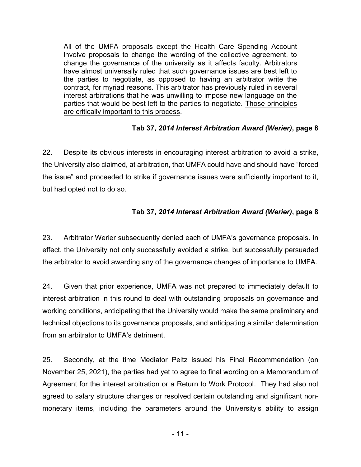All of the UMFA proposals except the Health Care Spending Account involve proposals to change the wording of the collective agreement, to change the governance of the university as it affects faculty. Arbitrators have almost universally ruled that such governance issues are best left to the parties to negotiate, as opposed to having an arbitrator write the contract, for myriad reasons. This arbitrator has previously ruled in several interest arbitrations that he was unwilling to impose new language on the parties that would be best left to the parties to negotiate. Those principles are critically important to this process.

### **Tab 37,** *2014 Interest Arbitration Award (Werier)***, page 8**

22. Despite its obvious interests in encouraging interest arbitration to avoid a strike, the University also claimed, at arbitration, that UMFA could have and should have "forced the issue" and proceeded to strike if governance issues were sufficiently important to it, but had opted not to do so.

### **Tab 37,** *2014 Interest Arbitration Award (Werier)***, page 8**

23. Arbitrator Werier subsequently denied each of UMFA's governance proposals. In effect, the University not only successfully avoided a strike, but successfully persuaded the arbitrator to avoid awarding any of the governance changes of importance to UMFA.

24. Given that prior experience, UMFA was not prepared to immediately default to interest arbitration in this round to deal with outstanding proposals on governance and working conditions, anticipating that the University would make the same preliminary and technical objections to its governance proposals, and anticipating a similar determination from an arbitrator to UMFA's detriment.

25. Secondly, at the time Mediator Peltz issued his Final Recommendation (on November 25, 2021), the parties had yet to agree to final wording on a Memorandum of Agreement for the interest arbitration or a Return to Work Protocol. They had also not agreed to salary structure changes or resolved certain outstanding and significant nonmonetary items, including the parameters around the University's ability to assign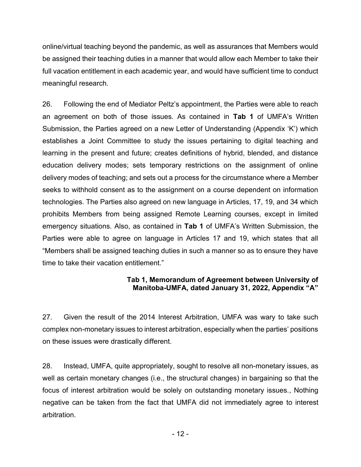online/virtual teaching beyond the pandemic, as well as assurances that Members would be assigned their teaching duties in a manner that would allow each Member to take their full vacation entitlement in each academic year, and would have sufficient time to conduct meaningful research.

26. Following the end of Mediator Peltz's appointment, the Parties were able to reach an agreement on both of those issues. As contained in **Tab 1** of UMFA's Written Submission, the Parties agreed on a new Letter of Understanding (Appendix 'K') which establishes a Joint Committee to study the issues pertaining to digital teaching and learning in the present and future; creates definitions of hybrid, blended, and distance education delivery modes; sets temporary restrictions on the assignment of online delivery modes of teaching; and sets out a process for the circumstance where a Member seeks to withhold consent as to the assignment on a course dependent on information technologies. The Parties also agreed on new language in Articles, 17, 19, and 34 which prohibits Members from being assigned Remote Learning courses, except in limited emergency situations. Also, as contained in **Tab 1** of UMFA's Written Submission, the Parties were able to agree on language in Articles 17 and 19, which states that all "Members shall be assigned teaching duties in such a manner so as to ensure they have time to take their vacation entitlement."

### **Tab 1, Memorandum of Agreement between University of Manitoba-UMFA, dated January 31, 2022, Appendix "A"**

27. Given the result of the 2014 Interest Arbitration, UMFA was wary to take such complex non-monetary issues to interest arbitration, especially when the parties' positions on these issues were drastically different.

28. Instead, UMFA, quite appropriately, sought to resolve all non-monetary issues, as well as certain monetary changes (i.e., the structural changes) in bargaining so that the focus of interest arbitration would be solely on outstanding monetary issues., Nothing negative can be taken from the fact that UMFA did not immediately agree to interest arbitration.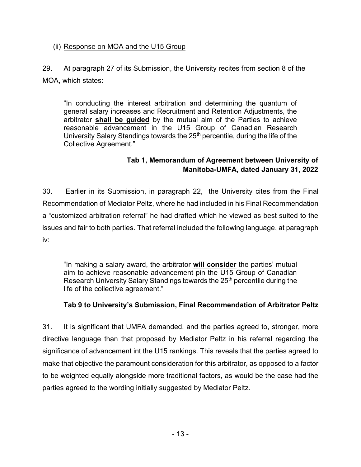### <span id="page-12-0"></span>(ii) Response on MOA and the U15 Group

29. At paragraph 27 of its Submission, the University recites from section 8 of the MOA, which states:

"In conducting the interest arbitration and determining the quantum of general salary increases and Recruitment and Retention Adjustments, the arbitrator **shall be guided** by the mutual aim of the Parties to achieve reasonable advancement in the U15 Group of Canadian Research University Salary Standings towards the 25<sup>th</sup> percentile, during the life of the Collective Agreement."

# **Tab 1, Memorandum of Agreement between University of Manitoba-UMFA, dated January 31, 2022**

30. Earlier in its Submission, in paragraph 22, the University cites from the Final Recommendation of Mediator Peltz, where he had included in his Final Recommendation a "customized arbitration referral" he had drafted which he viewed as best suited to the issues and fair to both parties. That referral included the following language, at paragraph iv:

"In making a salary award, the arbitrator **will consider** the parties' mutual aim to achieve reasonable advancement pin the U15 Group of Canadian Research University Salary Standings towards the 25<sup>th</sup> percentile during the life of the collective agreement."

# **Tab 9 to University's Submission, Final Recommendation of Arbitrator Peltz**

31. It is significant that UMFA demanded, and the parties agreed to, stronger, more directive language than that proposed by Mediator Peltz in his referral regarding the significance of advancement int the U15 rankings. This reveals that the parties agreed to make that objective the paramount consideration for this arbitrator, as opposed to a factor to be weighted equally alongside more traditional factors, as would be the case had the parties agreed to the wording initially suggested by Mediator Peltz.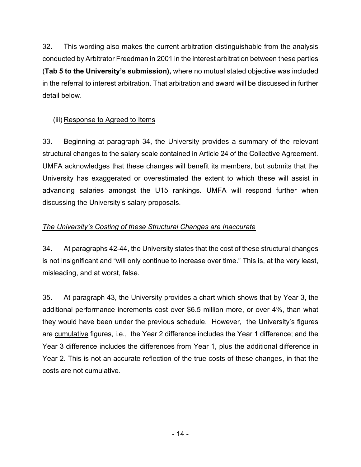32. This wording also makes the current arbitration distinguishable from the analysis conducted by Arbitrator Freedman in 2001 in the interest arbitration between these parties (**Tab 5 to the University's submission),** where no mutual stated objective was included in the referral to interest arbitration. That arbitration and award will be discussed in further detail below.

# <span id="page-13-0"></span>(iii) Response to Agreed to Items

33. Beginning at paragraph 34, the University provides a summary of the relevant structural changes to the salary scale contained in Article 24 of the Collective Agreement. UMFA acknowledges that these changes will benefit its members, but submits that the University has exaggerated or overestimated the extent to which these will assist in advancing salaries amongst the U15 rankings. UMFA will respond further when discussing the University's salary proposals.

### <span id="page-13-1"></span>*The University's Costing of these Structural Changes are Inaccurate*

34. At paragraphs 42-44, the University states that the cost of these structural changes is not insignificant and "will only continue to increase over time." This is, at the very least, misleading, and at worst, false.

35. At paragraph 43, the University provides a chart which shows that by Year 3, the additional performance increments cost over \$6.5 million more, or over 4%, than what they would have been under the previous schedule. However, the University's figures are cumulative figures, i.e., the Year 2 difference includes the Year 1 difference; and the Year 3 difference includes the differences from Year 1, plus the additional difference in Year 2. This is not an accurate reflection of the true costs of these changes, in that the costs are not cumulative.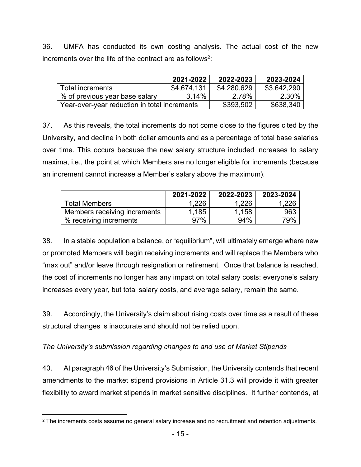36. UMFA has conducted its own costing analysis. The actual cost of the new increments over the life of the contract are as follows<sup>2</sup>:

|                                              | 2021-2022   | 2022-2023   | 2023-2024   |
|----------------------------------------------|-------------|-------------|-------------|
| Total increments                             | \$4,674,131 | \$4,280,629 | \$3,642,290 |
| % of previous year base salary               | 3.14%       | 2.78%       | 2.30%       |
| Year-over-vear reduction in total increments |             | \$393,502   | \$638,340   |

37. As this reveals, the total increments do not come close to the figures cited by the University, and decline in both dollar amounts and as a percentage of total base salaries over time. This occurs because the new salary structure included increases to salary maxima, i.e., the point at which Members are no longer eligible for increments (because an increment cannot increase a Member's salary above the maximum).

|                              | 2021-2022 | 2022-2023 | 2023-2024 |
|------------------------------|-----------|-----------|-----------|
| <b>Total Members</b>         | 1.226     | 1,226     | .226      |
| Members receiving increments | 1.185     | 1.158     | 963       |
| % receiving increments       | 97%       | 94%       | 79%       |

38. In a stable population a balance, or "equilibrium", will ultimately emerge where new or promoted Members will begin receiving increments and will replace the Members who "max out" and/or leave through resignation or retirement. Once that balance is reached, the cost of increments no longer has any impact on total salary costs: everyone's salary increases every year, but total salary costs, and average salary, remain the same.

39. Accordingly, the University's claim about rising costs over time as a result of these structural changes is inaccurate and should not be relied upon.

# <span id="page-14-0"></span>*The University's submission regarding changes to and use of Market Stipends*

40. At paragraph 46 of the University's Submission, the University contends that recent amendments to the market stipend provisions in Article 31.3 will provide it with greater flexibility to award market stipends in market sensitive disciplines. It further contends, at

<sup>2</sup> The increments costs assume no general salary increase and no recruitment and retention adjustments.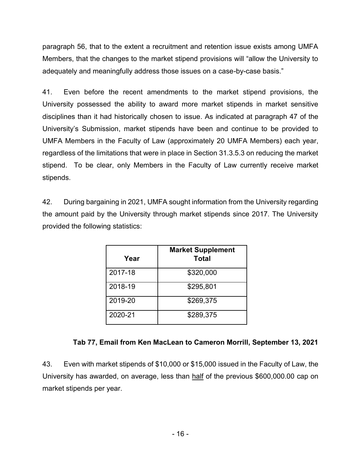paragraph 56, that to the extent a recruitment and retention issue exists among UMFA Members, that the changes to the market stipend provisions will "allow the University to adequately and meaningfully address those issues on a case-by-case basis."

41. Even before the recent amendments to the market stipend provisions, the University possessed the ability to award more market stipends in market sensitive disciplines than it had historically chosen to issue. As indicated at paragraph 47 of the University's Submission, market stipends have been and continue to be provided to UMFA Members in the Faculty of Law (approximately 20 UMFA Members) each year, regardless of the limitations that were in place in Section 31.3.5.3 on reducing the market stipend. To be clear, only Members in the Faculty of Law currently receive market stipends.

42. During bargaining in 2021, UMFA sought information from the University regarding the amount paid by the University through market stipends since 2017. The University provided the following statistics:

| Year    | <b>Market Supplement</b><br><b>Total</b> |
|---------|------------------------------------------|
| 2017-18 | \$320,000                                |
| 2018-19 | \$295,801                                |
| 2019-20 | \$269,375                                |
| 2020-21 | \$289,375                                |

# **Tab 77, Email from Ken MacLean to Cameron Morrill, September 13, 2021**

43. Even with market stipends of \$10,000 or \$15,000 issued in the Faculty of Law, the University has awarded, on average, less than half of the previous \$600,000.00 cap on market stipends per year.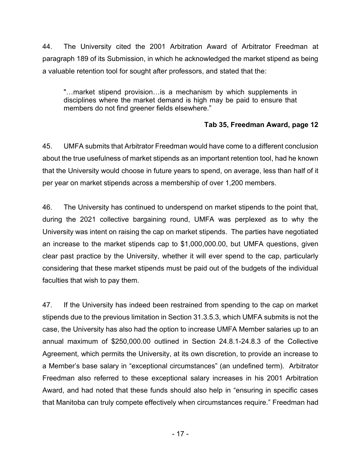44. The University cited the 2001 Arbitration Award of Arbitrator Freedman at paragraph 189 of its Submission, in which he acknowledged the market stipend as being a valuable retention tool for sought after professors, and stated that the:

"…market stipend provision…is a mechanism by which supplements in disciplines where the market demand is high may be paid to ensure that members do not find greener fields elsewhere."

### **Tab 35, Freedman Award, page 12**

45. UMFA submits that Arbitrator Freedman would have come to a different conclusion about the true usefulness of market stipends as an important retention tool, had he known that the University would choose in future years to spend, on average, less than half of it per year on market stipends across a membership of over 1,200 members.

46. The University has continued to underspend on market stipends to the point that, during the 2021 collective bargaining round, UMFA was perplexed as to why the University was intent on raising the cap on market stipends. The parties have negotiated an increase to the market stipends cap to \$1,000,000.00, but UMFA questions, given clear past practice by the University, whether it will ever spend to the cap, particularly considering that these market stipends must be paid out of the budgets of the individual faculties that wish to pay them.

47. If the University has indeed been restrained from spending to the cap on market stipends due to the previous limitation in Section 31.3.5.3, which UMFA submits is not the case, the University has also had the option to increase UMFA Member salaries up to an annual maximum of \$250,000.00 outlined in Section 24.8.1-24.8.3 of the Collective Agreement, which permits the University, at its own discretion, to provide an increase to a Member's base salary in "exceptional circumstances" (an undefined term). Arbitrator Freedman also referred to these exceptional salary increases in his 2001 Arbitration Award, and had noted that these funds should also help in "ensuring in specific cases that Manitoba can truly compete effectively when circumstances require." Freedman had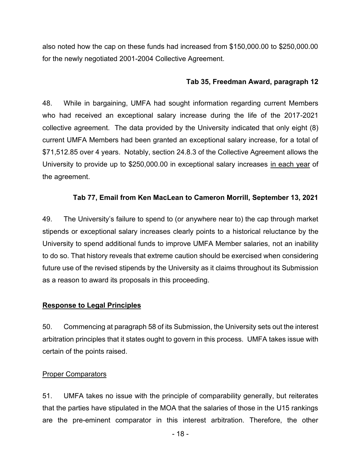also noted how the cap on these funds had increased from \$150,000.00 to \$250,000.00 for the newly negotiated 2001-2004 Collective Agreement.

#### **Tab 35, Freedman Award, paragraph 12**

48. While in bargaining, UMFA had sought information regarding current Members who had received an exceptional salary increase during the life of the 2017-2021 collective agreement. The data provided by the University indicated that only eight (8) current UMFA Members had been granted an exceptional salary increase, for a total of \$71,512.85 over 4 years. Notably, section 24.8.3 of the Collective Agreement allows the University to provide up to \$250,000.00 in exceptional salary increases in each year of the agreement.

#### **Tab 77, Email from Ken MacLean to Cameron Morrill, September 13, 2021**

49. The University's failure to spend to (or anywhere near to) the cap through market stipends or exceptional salary increases clearly points to a historical reluctance by the University to spend additional funds to improve UMFA Member salaries, not an inability to do so. That history reveals that extreme caution should be exercised when considering future use of the revised stipends by the University as it claims throughout its Submission as a reason to award its proposals in this proceeding.

#### <span id="page-17-0"></span>**Response to Legal Principles**

50. Commencing at paragraph 58 of its Submission, the University sets out the interest arbitration principles that it states ought to govern in this process. UMFA takes issue with certain of the points raised.

#### <span id="page-17-1"></span>**Proper Comparators**

51. UMFA takes no issue with the principle of comparability generally, but reiterates that the parties have stipulated in the MOA that the salaries of those in the U15 rankings are the pre-eminent comparator in this interest arbitration. Therefore, the other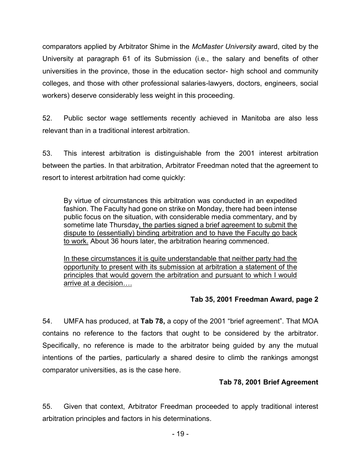comparators applied by Arbitrator Shime in the *McMaster University* award, cited by the University at paragraph 61 of its Submission (i.e., the salary and benefits of other universities in the province, those in the education sector- high school and community colleges, and those with other professional salaries-lawyers, doctors, engineers, social workers) deserve considerably less weight in this proceeding.

52. Public sector wage settlements recently achieved in Manitoba are also less relevant than in a traditional interest arbitration.

53. This interest arbitration is distinguishable from the 2001 interest arbitration between the parties. In that arbitration, Arbitrator Freedman noted that the agreement to resort to interest arbitration had come quickly:

By virtue of circumstances this arbitration was conducted in an expedited fashion. The Faculty had gone on strike on Monday, there had been intense public focus on the situation, with considerable media commentary, and by sometime late Thursday, the parties signed a brief agreement to submit the dispute to (essentially) binding arbitration and to have the Faculty go back to work. About 36 hours later, the arbitration hearing commenced.

In these circumstances it is quite understandable that neither party had the opportunity to present with its submission at arbitration a statement of the principles that would govern the arbitration and pursuant to which I would arrive at a decision….

#### **Tab 35, 2001 Freedman Award, page 2**

54. UMFA has produced, at **Tab 78,** a copy of the 2001 "brief agreement". That MOA contains no reference to the factors that ought to be considered by the arbitrator. Specifically, no reference is made to the arbitrator being guided by any the mutual intentions of the parties, particularly a shared desire to climb the rankings amongst comparator universities, as is the case here.

### **Tab 78, 2001 Brief Agreement**

55. Given that context, Arbitrator Freedman proceeded to apply traditional interest arbitration principles and factors in his determinations.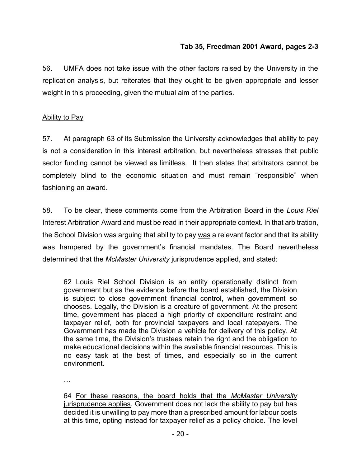### **Tab 35, Freedman 2001 Award, pages 2-3**

56. UMFA does not take issue with the other factors raised by the University in the replication analysis, but reiterates that they ought to be given appropriate and lesser weight in this proceeding, given the mutual aim of the parties.

#### <span id="page-19-0"></span>Ability to Pay

57. At paragraph 63 of its Submission the University acknowledges that ability to pay is not a consideration in this interest arbitration, but nevertheless stresses that public sector funding cannot be viewed as limitless. It then states that arbitrators cannot be completely blind to the economic situation and must remain "responsible" when fashioning an award.

58. To be clear, these comments come from the Arbitration Board in the *Louis Riel* Interest Arbitration Award and must be read in their appropriate context. In that arbitration, the School Division was arguing that ability to pay was a relevant factor and that its ability was hampered by the government's financial mandates. The Board nevertheless determined that the *McMaster University* jurisprudence applied, and stated:

62 Louis Riel School Division is an entity operationally distinct from government but as the evidence before the board established, the Division is subject to close government financial control, when government so chooses. Legally, the Division is a creature of government. At the present time, government has placed a high priority of expenditure restraint and taxpayer relief, both for provincial taxpayers and local ratepayers. The Government has made the Division a vehicle for delivery of this policy. At the same time, the Division's trustees retain the right and the obligation to make educational decisions within the available financial resources. This is no easy task at the best of times, and especially so in the current environment.

…

64 For these reasons, the board holds that the *McMaster University* jurisprudence applies. Government does not lack the ability to pay but has decided it is unwilling to pay more than a prescribed amount for labour costs at this time, opting instead for taxpayer relief as a policy choice. The level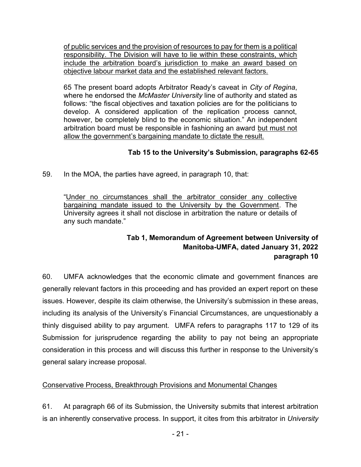of public services and the provision of resources to pay for them is a political responsibility. The Division will have to lie within these constraints, which include the arbitration board's jurisdiction to make an award based on objective labour market data and the established relevant factors.

65 The present board adopts Arbitrator Ready's caveat in *City of Regina*, where he endorsed the *McMaster University* line of authority and stated as follows: "the fiscal objectives and taxation policies are for the politicians to develop. A considered application of the replication process cannot, however, be completely blind to the economic situation." An independent arbitration board must be responsible in fashioning an award but must not allow the government's bargaining mandate to dictate the result.

# **Tab 15 to the University's Submission, paragraphs 62-65**

59. In the MOA, the parties have agreed, in paragraph 10, that:

"Under no circumstances shall the arbitrator consider any collective bargaining mandate issued to the University by the Government. The University agrees it shall not disclose in arbitration the nature or details of any such mandate."

# **Tab 1, Memorandum of Agreement between University of Manitoba-UMFA, dated January 31, 2022 paragraph 10**

60. UMFA acknowledges that the economic climate and government finances are generally relevant factors in this proceeding and has provided an expert report on these issues. However, despite its claim otherwise, the University's submission in these areas, including its analysis of the University's Financial Circumstances, are unquestionably a thinly disguised ability to pay argument. UMFA refers to paragraphs 117 to 129 of its Submission for jurisprudence regarding the ability to pay not being an appropriate consideration in this process and will discuss this further in response to the University's general salary increase proposal.

# <span id="page-20-0"></span>Conservative Process, Breakthrough Provisions and Monumental Changes

61. At paragraph 66 of its Submission, the University submits that interest arbitration is an inherently conservative process. In support, it cites from this arbitrator in *University*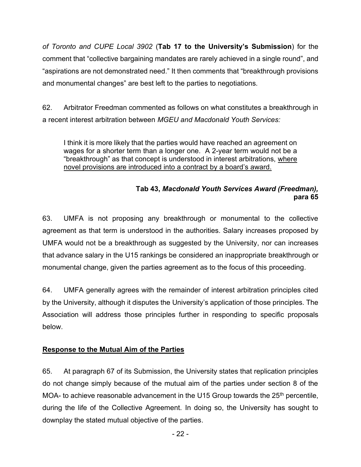*of Toronto and CUPE Local 3902* (**Tab 17 to the University's Submission**) for the comment that "collective bargaining mandates are rarely achieved in a single round", and "aspirations are not demonstrated need." It then comments that "breakthrough provisions and monumental changes" are best left to the parties to negotiations.

62. Arbitrator Freedman commented as follows on what constitutes a breakthrough in a recent interest arbitration between *MGEU and Macdonald Youth Services:* 

I think it is more likely that the parties would have reached an agreement on wages for a shorter term than a longer one. A 2-year term would not be a "breakthrough" as that concept is understood in interest arbitrations, where novel provisions are introduced into a contract by a board's award.

# **Tab 43,** *Macdonald Youth Services Award (Freedman),* **para 65**

63. UMFA is not proposing any breakthrough or monumental to the collective agreement as that term is understood in the authorities. Salary increases proposed by UMFA would not be a breakthrough as suggested by the University, nor can increases that advance salary in the U15 rankings be considered an inappropriate breakthrough or monumental change, given the parties agreement as to the focus of this proceeding.

64. UMFA generally agrees with the remainder of interest arbitration principles cited by the University, although it disputes the University's application of those principles. The Association will address those principles further in responding to specific proposals below.

# <span id="page-21-0"></span>**Response to the Mutual Aim of the Parties**

65. At paragraph 67 of its Submission, the University states that replication principles do not change simply because of the mutual aim of the parties under section 8 of the MOA- to achieve reasonable advancement in the U15 Group towards the  $25<sup>th</sup>$  percentile, during the life of the Collective Agreement. In doing so, the University has sought to downplay the stated mutual objective of the parties.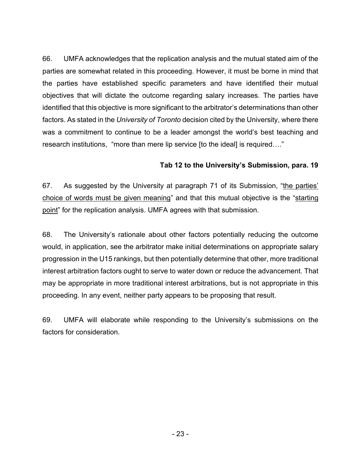66. UMFA acknowledges that the replication analysis and the mutual stated aim of the parties are somewhat related in this proceeding. However, it must be borne in mind that the parties have established specific parameters and have identified their mutual objectives that will dictate the outcome regarding salary increases. The parties have identified that this objective is more significant to the arbitrator's determinations than other factors. As stated in the *University of Toronto* decision cited by the University, where there was a commitment to continue to be a leader amongst the world's best teaching and research institutions, "more than mere lip service [to the ideal] is required…."

#### **Tab 12 to the University's Submission, para. 19**

67. As suggested by the University at paragraph 71 of its Submission, "the parties' choice of words must be given meaning" and that this mutual objective is the "starting point" for the replication analysis. UMFA agrees with that submission.

68. The University's rationale about other factors potentially reducing the outcome would, in application, see the arbitrator make initial determinations on appropriate salary progression in the U15 rankings, but then potentially determine that other, more traditional interest arbitration factors ought to serve to water down or reduce the advancement. That may be appropriate in more traditional interest arbitrations, but is not appropriate in this proceeding. In any event, neither party appears to be proposing that result.

69. UMFA will elaborate while responding to the University's submissions on the factors for consideration.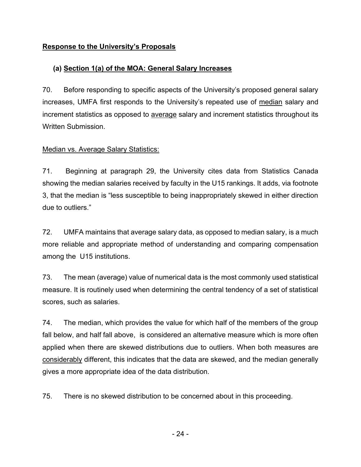# <span id="page-23-0"></span>**Response to the University's Proposals**

# <span id="page-23-1"></span>**(a) Section 1(a) of the MOA: General Salary Increases**

70. Before responding to specific aspects of the University's proposed general salary increases, UMFA first responds to the University's repeated use of median salary and increment statistics as opposed to average salary and increment statistics throughout its Written Submission.

### <span id="page-23-2"></span>Median vs. Average Salary Statistics:

71. Beginning at paragraph 29, the University cites data from Statistics Canada showing the median salaries received by faculty in the U15 rankings. It adds, via footnote 3, that the median is "less susceptible to being inappropriately skewed in either direction due to outliers."

72. UMFA maintains that average salary data, as opposed to median salary, is a much more reliable and appropriate method of understanding and comparing compensation among the U15 institutions.

73. The mean (average) value of numerical data is the most commonly used statistical measure. It is routinely used when determining the central tendency of a set of statistical scores, such as salaries.

74. The median, which provides the value for which half of the members of the group fall below, and half fall above, is considered an alternative measure which is more often applied when there are skewed distributions due to outliers. When both measures are considerably different, this indicates that the data are skewed, and the median generally gives a more appropriate idea of the data distribution.

75. There is no skewed distribution to be concerned about in this proceeding.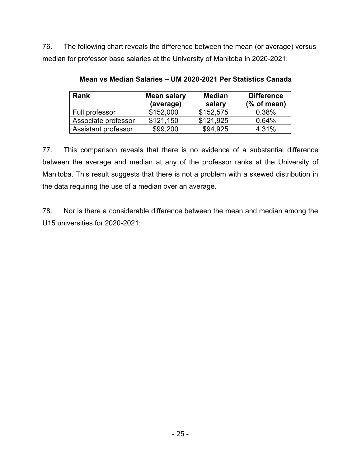76. The following chart reveals the difference between the mean (or average) versus median for professor base salaries at the University of Manitoba in 2020-2021:

| <b>Rank</b>         | Mean salary<br>(average) | <b>Median</b><br>salary | <b>Difference</b><br>$%$ of mean) |
|---------------------|--------------------------|-------------------------|-----------------------------------|
| Full professor      | \$152,000                | \$152,575               | 0.38%                             |
| Associate professor | \$121,150                | \$121,925               | 0.64%                             |
| Assistant professor | \$99,200                 | \$94,925                | 4.31%                             |

**Mean vs Median Salaries – UM 2020-2021 Per Statistics Canada** 

77. This comparison reveals that there is no evidence of a substantial difference between the average and median at any of the professor ranks at the University of Manitoba. This result suggests that there is not a problem with a skewed distribution in the data requiring the use of a median over an average.

78. Nor is there a considerable difference between the mean and median among the U15 universities for 2020-2021: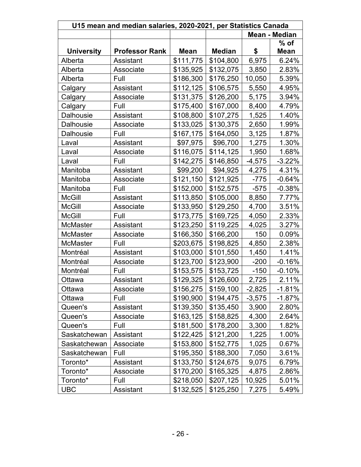| U15 mean and median salaries, 2020-2021, per Statistics Canada |                       |             |               |          |             |  |
|----------------------------------------------------------------|-----------------------|-------------|---------------|----------|-------------|--|
| <b>Mean - Median</b>                                           |                       |             |               |          |             |  |
|                                                                |                       |             |               |          | $%$ of      |  |
| <b>University</b>                                              | <b>Professor Rank</b> | <b>Mean</b> | <b>Median</b> | \$       | <b>Mean</b> |  |
| Alberta                                                        | Assistant             | \$111,775   | \$104,800     | 6,975    | 6.24%       |  |
| Alberta                                                        | Associate             | \$135,925   | \$132,075     | 3,850    | 2.83%       |  |
| Alberta                                                        | Full                  | \$186,300   | \$176,250     | 10,050   | 5.39%       |  |
| Calgary                                                        | Assistant             | \$112,125   | \$106,575     | 5,550    | 4.95%       |  |
| Calgary                                                        | Associate             | \$131,375   | \$126,200     | 5,175    | 3.94%       |  |
| Calgary                                                        | Full                  | \$175,400   | \$167,000     | 8,400    | 4.79%       |  |
| Dalhousie                                                      | Assistant             | \$108,800   | \$107,275     | 1,525    | 1.40%       |  |
| Dalhousie                                                      | Associate             | \$133,025   | \$130,375     | 2,650    | 1.99%       |  |
| Dalhousie                                                      | Full                  | \$167,175   | \$164,050     | 3,125    | 1.87%       |  |
| Laval                                                          | Assistant             | \$97,975    | \$96,700      | 1,275    | 1.30%       |  |
| Laval                                                          | Associate             | \$116,075   | \$114,125     | 1,950    | 1.68%       |  |
| Laval                                                          | Full                  | \$142,275   | \$146,850     | $-4,575$ | $-3.22%$    |  |
| Manitoba                                                       | Assistant             | \$99,200    | \$94,925      | 4,275    | 4.31%       |  |
| Manitoba                                                       | Associate             | \$121,150   | \$121,925     | $-775$   | $-0.64%$    |  |
| Manitoba                                                       | Full                  | \$152,000   | \$152,575     | $-575$   | $-0.38%$    |  |
| <b>McGill</b>                                                  | Assistant             | \$113,850   | \$105,000     | 8,850    | 7.77%       |  |
| <b>McGill</b>                                                  | Associate             | \$133,950   | \$129,250     | 4,700    | 3.51%       |  |
| <b>McGill</b>                                                  | Full                  | \$173,775   | \$169,725     | 4,050    | 2.33%       |  |
| <b>McMaster</b>                                                | Assistant             | \$123,250   | \$119,225     | 4,025    | 3.27%       |  |
| <b>McMaster</b>                                                | Associate             | \$166,350   | \$166,200     | 150      | 0.09%       |  |
| McMaster                                                       | Full                  | \$203,675   | \$198,825     | 4,850    | 2.38%       |  |
| Montréal                                                       | Assistant             | \$103,000   | \$101,550     | 1,450    | 1.41%       |  |
| Montréal                                                       | Associate             | \$123,700   | \$123,900     | $-200$   | $-0.16%$    |  |
| Montréal                                                       | Full                  | \$153,575   | \$153,725     | $-150$   | $-0.10%$    |  |
| Ottawa                                                         | Assistant             | \$129,325   | \$126,600     | 2,725    | 2.11%       |  |
| Ottawa                                                         | Associate             | \$156,275   | \$159,100     | $-2,825$ | $-1.81%$    |  |
| Ottawa                                                         | Full                  | \$190,900   | \$194,475     | $-3,575$ | $-1.87\%$   |  |
| Queen's                                                        | Assistant             | \$139,350   | \$135,450     | 3,900    | 2.80%       |  |
| Queen's                                                        | Associate             | \$163,125   | \$158,825     | 4,300    | 2.64%       |  |
| Queen's                                                        | Full                  | \$181,500   | \$178,200     | 3,300    | 1.82%       |  |
| Saskatchewan                                                   | Assistant             | \$122,425   | \$121,200     | 1,225    | 1.00%       |  |
| Saskatchewan                                                   | Associate             | \$153,800   | \$152,775     | 1,025    | 0.67%       |  |
| Saskatchewan                                                   | Full                  | \$195,350   | \$188,300     | 7,050    | 3.61%       |  |
| Toronto*                                                       | Assistant             | \$133,750   | \$124,675     | 9,075    | 6.79%       |  |
| Toronto*                                                       | Associate             | \$170,200   | \$165,325     | 4,875    | 2.86%       |  |
| Toronto*                                                       | Full                  | \$218,050   | \$207,125     | 10,925   | 5.01%       |  |
| <b>UBC</b>                                                     | Assistant             | \$132,525   | \$125,250     | 7,275    | 5.49%       |  |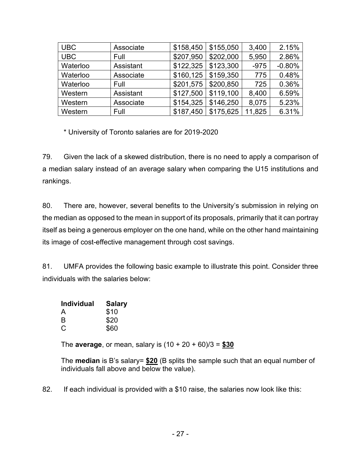| <b>UBC</b> | Associate | \$158,450 | \$155,050 | 3,400  | 2.15%    |
|------------|-----------|-----------|-----------|--------|----------|
| <b>UBC</b> | Full      | \$207,950 | \$202,000 | 5,950  | 2.86%    |
| Waterloo   | Assistant | \$122,325 | \$123,300 | $-975$ | $-0.80%$ |
| Waterloo   | Associate | \$160,125 | \$159,350 | 775    | 0.48%    |
| Waterloo   | Full      | \$201,575 | \$200,850 | 725    | 0.36%    |
| Western    | Assistant | \$127,500 | \$119,100 | 8,400  | 6.59%    |
| Western    | Associate | \$154,325 | \$146,250 | 8,075  | 5.23%    |
| Western    | Full      | \$187,450 | \$175,625 | 11,825 | 6.31%    |

\* University of Toronto salaries are for 2019-2020

79. Given the lack of a skewed distribution, there is no need to apply a comparison of a median salary instead of an average salary when comparing the U15 institutions and rankings.

80. There are, however, several benefits to the University's submission in relying on the median as opposed to the mean in support of its proposals, primarily that it can portray itself as being a generous employer on the one hand, while on the other hand maintaining its image of cost-effective management through cost savings.

81. UMFA provides the following basic example to illustrate this point. Consider three individuals with the salaries below:

| <b>Individual</b> | <b>Salary</b> |
|-------------------|---------------|
| A                 | \$10          |
| B                 | \$20          |
| С                 | \$60          |

The **average**, or mean, salary is (10 + 20 + 60)/3 = **\$30**

The **median** is B's salary= **\$20** (B splits the sample such that an equal number of individuals fall above and below the value).

82. If each individual is provided with a \$10 raise, the salaries now look like this: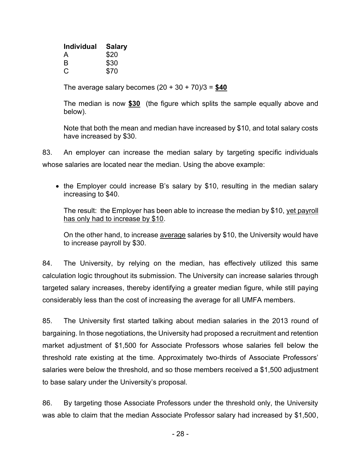| <b>Individual</b> | <b>Salary</b> |
|-------------------|---------------|
| A                 | \$20          |
| B                 | \$30          |
| С                 | \$70          |

The average salary becomes  $(20 + 30 + 70)/3 = $40$ 

The median is now **\$30** (the figure which splits the sample equally above and below).

Note that both the mean and median have increased by \$10, and total salary costs have increased by \$30.

83. An employer can increase the median salary by targeting specific individuals whose salaries are located near the median. Using the above example:

• the Employer could increase B's salary by \$10, resulting in the median salary increasing to \$40.

The result: the Employer has been able to increase the median by \$10, yet payroll has only had to increase by \$10.

On the other hand, to increase average salaries by \$10, the University would have to increase payroll by \$30.

84. The University, by relying on the median, has effectively utilized this same calculation logic throughout its submission. The University can increase salaries through targeted salary increases, thereby identifying a greater median figure, while still paying considerably less than the cost of increasing the average for all UMFA members.

85. The University first started talking about median salaries in the 2013 round of bargaining. In those negotiations, the University had proposed a recruitment and retention market adjustment of \$1,500 for Associate Professors whose salaries fell below the threshold rate existing at the time. Approximately two-thirds of Associate Professors' salaries were below the threshold, and so those members received a \$1,500 adjustment to base salary under the University's proposal.

86. By targeting those Associate Professors under the threshold only, the University was able to claim that the median Associate Professor salary had increased by \$1,500,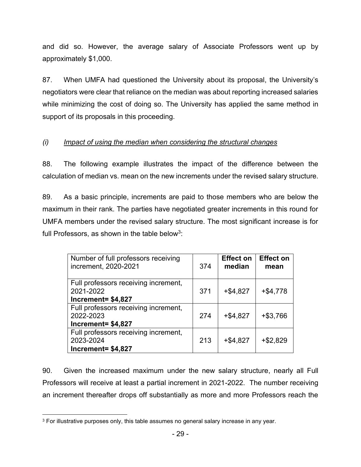and did so. However, the average salary of Associate Professors went up by approximately \$1,000.

87. When UMFA had questioned the University about its proposal, the University's negotiators were clear that reliance on the median was about reporting increased salaries while minimizing the cost of doing so. The University has applied the same method in support of its proposals in this proceeding.

# <span id="page-28-0"></span>*(i) Impact of using the median when considering the structural changes*

88. The following example illustrates the impact of the difference between the calculation of median vs. mean on the new increments under the revised salary structure.

89. As a basic principle, increments are paid to those members who are below the maximum in their rank. The parties have negotiated greater increments in this round for UMFA members under the revised salary structure. The most significant increase is for full Professors, as shown in the table below<sup>3</sup>:

| Number of full professors receiving<br>increment, 2020-2021             | 374 | <b>Effect on</b><br>median | <b>Effect on</b><br>mean |
|-------------------------------------------------------------------------|-----|----------------------------|--------------------------|
| Full professors receiving increment,<br>2021-2022<br>Increment= \$4,827 | 371 | $+ $4,827$                 | $+ $4,778$               |
| Full professors receiving increment,<br>2022-2023<br>Increment= \$4,827 | 274 | $+ $4,827$                 | $+ $3,766$               |
| Full professors receiving increment,<br>2023-2024<br>Increment= \$4,827 | 213 | $+ $4,827$                 | $+ $2,829$               |

90. Given the increased maximum under the new salary structure, nearly all Full Professors will receive at least a partial increment in 2021-2022. The number receiving an increment thereafter drops off substantially as more and more Professors reach the

<sup>&</sup>lt;sup>3</sup> For illustrative purposes only, this table assumes no general salary increase in any year.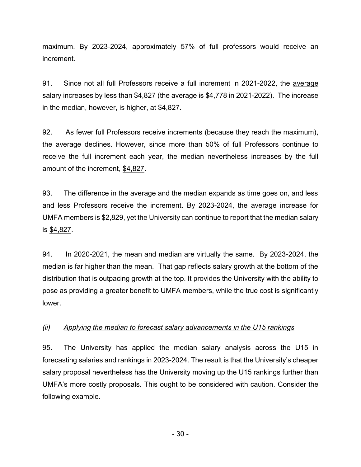maximum. By 2023-2024, approximately 57% of full professors would receive an increment.

91. Since not all full Professors receive a full increment in 2021-2022, the average salary increases by less than \$4,827 (the average is \$4,778 in 2021-2022). The increase in the median, however, is higher, at \$4,827.

92. As fewer full Professors receive increments (because they reach the maximum), the average declines. However, since more than 50% of full Professors continue to receive the full increment each year, the median nevertheless increases by the full amount of the increment, \$4,827.

93. The difference in the average and the median expands as time goes on, and less and less Professors receive the increment. By 2023-2024, the average increase for UMFA members is \$2,829, yet the University can continue to report that the median salary is \$4,827.

94. In 2020-2021, the mean and median are virtually the same. By 2023-2024, the median is far higher than the mean. That gap reflects salary growth at the bottom of the distribution that is outpacing growth at the top. It provides the University with the ability to pose as providing a greater benefit to UMFA members, while the true cost is significantly lower.

### <span id="page-29-0"></span>*(ii) Applying the median to forecast salary advancements in the U15 rankings*

95. The University has applied the median salary analysis across the U15 in forecasting salaries and rankings in 2023-2024. The result is that the University's cheaper salary proposal nevertheless has the University moving up the U15 rankings further than UMFA's more costly proposals. This ought to be considered with caution. Consider the following example.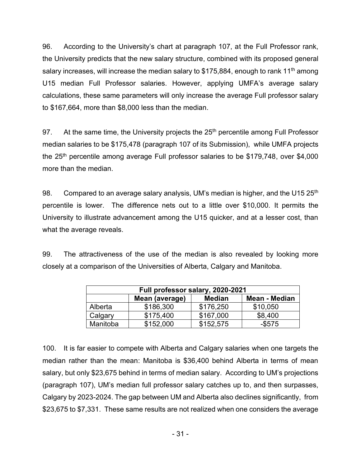96. According to the University's chart at paragraph 107, at the Full Professor rank, the University predicts that the new salary structure, combined with its proposed general salary increases, will increase the median salary to \$175,884, enough to rank 11<sup>th</sup> among U15 median Full Professor salaries. However, applying UMFA's average salary calculations, these same parameters will only increase the average Full professor salary to \$167,664, more than \$8,000 less than the median.

97. At the same time, the University projects the  $25<sup>th</sup>$  percentile among Full Professor median salaries to be \$175,478 (paragraph 107 of its Submission), while UMFA projects the 25<sup>th</sup> percentile among average Full professor salaries to be \$179,748, over \$4,000 more than the median.

98. Compared to an average salary analysis, UM's median is higher, and the U15  $25<sup>th</sup>$ percentile is lower. The difference nets out to a little over \$10,000. It permits the University to illustrate advancement among the U15 quicker, and at a lesser cost, than what the average reveals.

99. The attractiveness of the use of the median is also revealed by looking more closely at a comparison of the Universities of Alberta, Calgary and Manitoba.

| Full professor salary, 2020-2021 |                |               |               |  |  |  |
|----------------------------------|----------------|---------------|---------------|--|--|--|
|                                  | Mean (average) | <b>Median</b> | Mean - Median |  |  |  |
| Alberta                          | \$186,300      | \$176,250     | \$10,050      |  |  |  |
| Calgary                          | \$175,400      | \$167,000     | \$8,400       |  |  |  |
| Manitoba                         | \$152,000      | \$152,575     | $-$ \$575     |  |  |  |

100. It is far easier to compete with Alberta and Calgary salaries when one targets the median rather than the mean: Manitoba is \$36,400 behind Alberta in terms of mean salary, but only \$23,675 behind in terms of median salary. According to UM's projections (paragraph 107), UM's median full professor salary catches up to, and then surpasses, Calgary by 2023-2024. The gap between UM and Alberta also declines significantly, from \$23,675 to \$7,331. These same results are not realized when one considers the average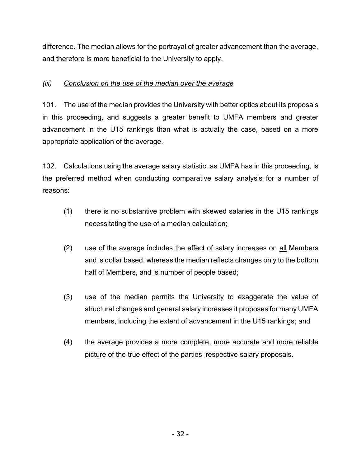difference. The median allows for the portrayal of greater advancement than the average, and therefore is more beneficial to the University to apply.

# <span id="page-31-0"></span>*(iii) Conclusion on the use of the median over the average*

101. The use of the median provides the University with better optics about its proposals in this proceeding, and suggests a greater benefit to UMFA members and greater advancement in the U15 rankings than what is actually the case, based on a more appropriate application of the average.

102. Calculations using the average salary statistic, as UMFA has in this proceeding, is the preferred method when conducting comparative salary analysis for a number of reasons:

- (1) there is no substantive problem with skewed salaries in the U15 rankings necessitating the use of a median calculation;
- (2) use of the average includes the effect of salary increases on all Members and is dollar based, whereas the median reflects changes only to the bottom half of Members, and is number of people based;
- (3) use of the median permits the University to exaggerate the value of structural changes and general salary increases it proposes for many UMFA members, including the extent of advancement in the U15 rankings; and
- (4) the average provides a more complete, more accurate and more reliable picture of the true effect of the parties' respective salary proposals.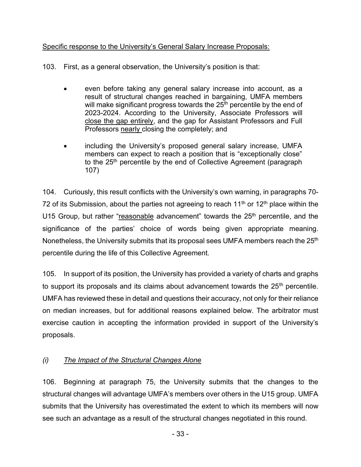### <span id="page-32-0"></span>Specific response to the University's General Salary Increase Proposals:

103. First, as a general observation, the University's position is that:

- even before taking any general salary increase into account, as a result of structural changes reached in bargaining, UMFA members will make significant progress towards the  $25<sup>th</sup>$  percentile by the end of 2023-2024. According to the University, Associate Professors will close the gap entirely, and the gap for Assistant Professors and Full Professors nearly closing the completely; and
- including the University's proposed general salary increase, UMFA members can expect to reach a position that is "exceptionally close" to the 25<sup>th</sup> percentile by the end of Collective Agreement (paragraph 107)

104. Curiously, this result conflicts with the University's own warning, in paragraphs 70- 72 of its Submission, about the parties not agreeing to reach 11<sup>th</sup> or 12<sup>th</sup> place within the U15 Group, but rather "reasonable advancement" towards the  $25<sup>th</sup>$  percentile, and the significance of the parties' choice of words being given appropriate meaning. Nonetheless, the University submits that its proposal sees UMFA members reach the 25<sup>th</sup> percentile during the life of this Collective Agreement.

105. In support of its position, the University has provided a variety of charts and graphs to support its proposals and its claims about advancement towards the 25<sup>th</sup> percentile. UMFA has reviewed these in detail and questions their accuracy, not only for their reliance on median increases, but for additional reasons explained below. The arbitrator must exercise caution in accepting the information provided in support of the University's proposals.

### <span id="page-32-1"></span>*(i) The Impact of the Structural Changes Alone*

106. Beginning at paragraph 75, the University submits that the changes to the structural changes will advantage UMFA's members over others in the U15 group. UMFA submits that the University has overestimated the extent to which its members will now see such an advantage as a result of the structural changes negotiated in this round.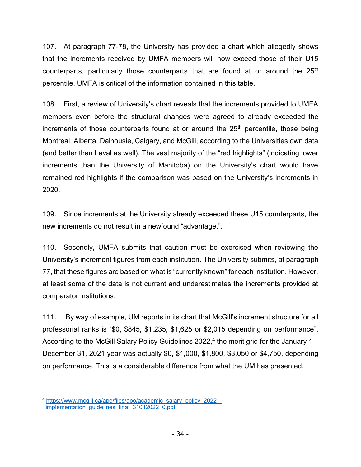107. At paragraph 77-78, the University has provided a chart which allegedly shows that the increments received by UMFA members will now exceed those of their U15 counterparts, particularly those counterparts that are found at or around the  $25<sup>th</sup>$ percentile. UMFA is critical of the information contained in this table.

108. First, a review of University's chart reveals that the increments provided to UMFA members even before the structural changes were agreed to already exceeded the increments of those counterparts found at or around the  $25<sup>th</sup>$  percentile, those being Montreal, Alberta, Dalhousie, Calgary, and McGill, according to the Universities own data (and better than Laval as well). The vast majority of the "red highlights" (indicating lower increments than the University of Manitoba) on the University's chart would have remained red highlights if the comparison was based on the University's increments in 2020.

109. Since increments at the University already exceeded these U15 counterparts, the new increments do not result in a newfound "advantage.".

110. Secondly, UMFA submits that caution must be exercised when reviewing the University's increment figures from each institution. The University submits, at paragraph 77, that these figures are based on what is "currently known" for each institution. However, at least some of the data is not current and underestimates the increments provided at comparator institutions.

111. By way of example, UM reports in its chart that McGill's increment structure for all professorial ranks is "\$0, \$845, \$1,235, \$1,625 or \$2,015 depending on performance". According to the McGill Salary Policy Guidelines 2022, $^4$  the merit grid for the January 1 – December 31, 2021 year was actually \$0, \$1,000, \$1,800, \$3,050 or \$4,750, depending on performance. This is a considerable difference from what the UM has presented.

<sup>4</sup> [https://www.mcgill.ca/apo/files/apo/academic\\_salary\\_policy\\_2022\\_-](https://www.mcgill.ca/apo/files/apo/academic_salary_policy_2022_-_implementation_guidelines_final_31012022_0.pdf)

implementation\_guidelines\_final\_31012022\_0.pdf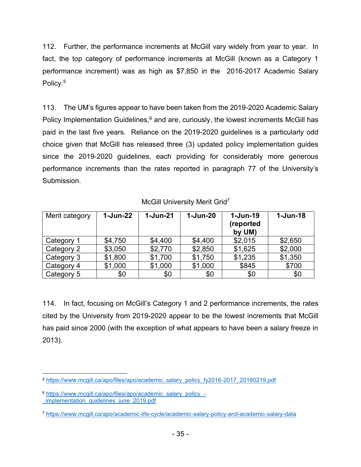112. Further, the performance increments at McGill vary widely from year to year. In fact, the top category of performance increments at McGill (known as a Category 1 performance increment) was as high as \$7,850 in the 2016-2017 Academic Salary Policy.<sup>5</sup>

113. The UM's figures appear to have been taken from the 2019-2020 Academic Salary Policy Implementation Guidelines,<sup>6</sup> and are, curiously, the lowest increments McGill has paid in the last five years. Reliance on the 2019-2020 guidelines is a particularly odd choice given that McGill has released three (3) updated policy implementation guides since the 2019-2020 guidelines, each providing for considerably more generous performance increments than the rates reported in paragraph 77 of the University's Submission.

### McGill University Merit Grid<sup>7</sup>

| Merit category | $1 - Jun-22$ | 1-Jun-21 | $1 - Jun-20$ | $1 - Jun-19$<br>(reported<br>by UM) | $1 - Jun-18$ |
|----------------|--------------|----------|--------------|-------------------------------------|--------------|
| Category 1     | \$4,750      | \$4,400  | \$4,400      | \$2,015                             | \$2,650      |
| Category 2     | \$3,050      | \$2,770  | \$2,850      | \$1,625                             | \$2,000      |
| Category 3     | \$1,800      | \$1,700  | \$1,750      | \$1,235                             | \$1,350      |
| Category 4     | \$1,000      | \$1,000  | \$1,000      | \$845                               | \$700        |
| Category 5     | \$0          | \$0      | \$0          | \$0                                 | \$0          |

114. In fact, focusing on McGill's Category 1 and 2 performance increments, the rates cited by the University from 2019-2020 appear to be the lowest increments that McGill has paid since 2000 (with the exception of what appears to have been a salary freeze in 2013).

<sup>5</sup> [https://www.mcgill.ca/apo/files/apo/academic\\_salary\\_policy\\_fy2016-2017\\_20160219.pdf](https://www.mcgill.ca/apo/files/apo/academic_salary_policy_fy2016-2017_20160219.pdf)

<sup>6</sup> [https://www.mcgill.ca/apo/files/apo/academic\\_salary\\_policy\\_](https://www.mcgill.ca/apo/files/apo/academic_salary_policy_-_implementation_guidelines_june_2019.pdf) implementation quidelines june 2019.pdf

<sup>7</sup> <https://www.mcgill.ca/apo/academic-life-cycle/academic-salary-policy-and-academic-salary-data>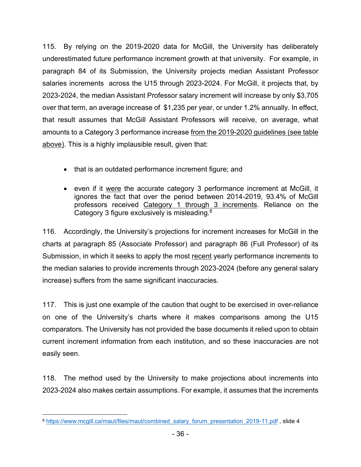115. By relying on the 2019-2020 data for McGill, the University has deliberately underestimated future performance increment growth at that university. For example, in paragraph 84 of its Submission, the University projects median Assistant Professor salaries increments across the U15 through 2023-2024. For McGill, it projects that, by 2023-2024, the median Assistant Professor salary increment will increase by only \$3,705 over that term, an average increase of \$1,235 per year, or under 1.2% annually. In effect, that result assumes that McGill Assistant Professors will receive, on average, what amounts to a Category 3 performance increase from the 2019-2020 guidelines (see table above). This is a highly implausible result, given that:

- that is an outdated performance increment figure; and
- even if it were the accurate category 3 performance increment at McGill, it ignores the fact that over the period between 2014-2019, 93.4% of McGill professors received Category 1 through 3 increments. Reliance on the Category 3 figure exclusively is misleading.<sup>8</sup>

116. Accordingly, the University's projections for increment increases for McGill in the charts at paragraph 85 (Associate Professor) and paragraph 86 (Full Professor) of its Submission, in which it seeks to apply the most recent yearly performance increments to the median salaries to provide increments through 2023-2024 (before any general salary increase) suffers from the same significant inaccuracies.

117. This is just one example of the caution that ought to be exercised in over-reliance on one of the University's charts where it makes comparisons among the U15 comparators. The University has not provided the base documents it relied upon to obtain current increment information from each institution, and so these inaccuracies are not easily seen.

118. The method used by the University to make projections about increments into 2023-2024 also makes certain assumptions. For example, it assumes that the increments

<sup>8</sup> [https://www.mcgill.ca/maut/files/maut/combined\\_salary\\_forum\\_presentation\\_2019-11.pdf](https://www.mcgill.ca/maut/files/maut/combined_salary_forum_presentation_2019-11.pdf), slide 4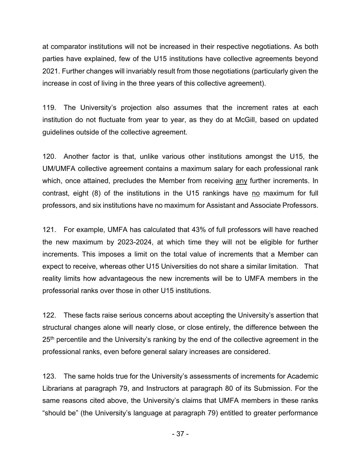at comparator institutions will not be increased in their respective negotiations. As both parties have explained, few of the U15 institutions have collective agreements beyond 2021. Further changes will invariably result from those negotiations (particularly given the increase in cost of living in the three years of this collective agreement).

119. The University's projection also assumes that the increment rates at each institution do not fluctuate from year to year, as they do at McGill, based on updated guidelines outside of the collective agreement.

120. Another factor is that, unlike various other institutions amongst the U15, the UM/UMFA collective agreement contains a maximum salary for each professional rank which, once attained, precludes the Member from receiving any further increments. In contrast, eight (8) of the institutions in the U15 rankings have no maximum for full professors, and six institutions have no maximum for Assistant and Associate Professors.

121. For example, UMFA has calculated that 43% of full professors will have reached the new maximum by 2023-2024, at which time they will not be eligible for further increments. This imposes a limit on the total value of increments that a Member can expect to receive, whereas other U15 Universities do not share a similar limitation. That reality limits how advantageous the new increments will be to UMFA members in the professorial ranks over those in other U15 institutions.

122. These facts raise serious concerns about accepting the University's assertion that structural changes alone will nearly close, or close entirely, the difference between the 25<sup>th</sup> percentile and the University's ranking by the end of the collective agreement in the professional ranks, even before general salary increases are considered.

123. The same holds true for the University's assessments of increments for Academic Librarians at paragraph 79, and Instructors at paragraph 80 of its Submission. For the same reasons cited above, the University's claims that UMFA members in these ranks "should be" (the University's language at paragraph 79) entitled to greater performance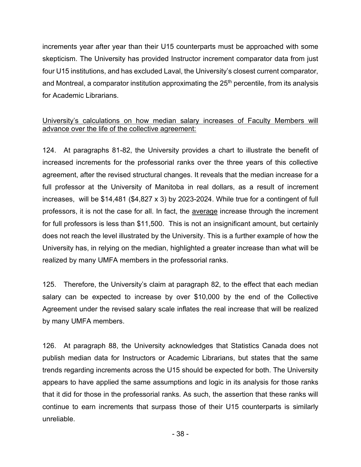increments year after year than their U15 counterparts must be approached with some skepticism. The University has provided Instructor increment comparator data from just four U15 institutions, and has excluded Laval, the University's closest current comparator, and Montreal, a comparator institution approximating the  $25<sup>th</sup>$  percentile, from its analysis for Academic Librarians.

## University's calculations on how median salary increases of Faculty Members will advance over the life of the collective agreement:

124. At paragraphs 81-82, the University provides a chart to illustrate the benefit of increased increments for the professorial ranks over the three years of this collective agreement, after the revised structural changes. It reveals that the median increase for a full professor at the University of Manitoba in real dollars, as a result of increment increases, will be \$14,481 (\$4,827 x 3) by 2023-2024. While true for a contingent of full professors, it is not the case for all. In fact, the average increase through the increment for full professors is less than \$11,500. This is not an insignificant amount, but certainly does not reach the level illustrated by the University. This is a further example of how the University has, in relying on the median, highlighted a greater increase than what will be realized by many UMFA members in the professorial ranks.

125. Therefore, the University's claim at paragraph 82, to the effect that each median salary can be expected to increase by over \$10,000 by the end of the Collective Agreement under the revised salary scale inflates the real increase that will be realized by many UMFA members.

126. At paragraph 88, the University acknowledges that Statistics Canada does not publish median data for Instructors or Academic Librarians, but states that the same trends regarding increments across the U15 should be expected for both. The University appears to have applied the same assumptions and logic in its analysis for those ranks that it did for those in the professorial ranks. As such, the assertion that these ranks will continue to earn increments that surpass those of their U15 counterparts is similarly unreliable.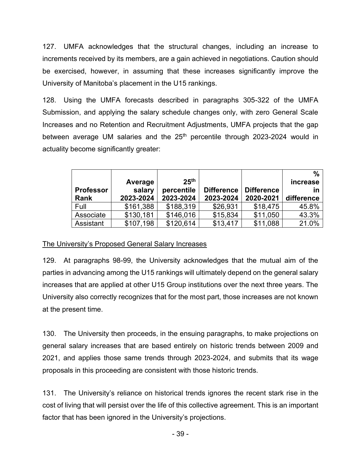127. UMFA acknowledges that the structural changes, including an increase to increments received by its members, are a gain achieved in negotiations. Caution should be exercised, however, in assuming that these increases significantly improve the University of Manitoba's placement in the U15 rankings.

128. Using the UMFA forecasts described in paragraphs 305-322 of the UMFA Submission, and applying the salary schedule changes only, with zero General Scale Increases and no Retention and Recruitment Adjustments, UMFA projects that the gap between average UM salaries and the  $25<sup>th</sup>$  percentile through 2023-2024 would in actuality become significantly greater:

|                  |           |                  |                   |                   | %          |
|------------------|-----------|------------------|-------------------|-------------------|------------|
|                  | Average   | 25 <sup>th</sup> |                   |                   | increase   |
| <b>Professor</b> | salary    | percentile       | <b>Difference</b> | <b>Difference</b> | ın         |
| Rank             | 2023-2024 | 2023-2024        | 2023-2024         | 2020-2021         | difference |
| Full             | \$161,388 | \$188,319        | \$26,931          | \$18,475          | 45.8%      |
| Associate        | \$130,181 | \$146,016        | \$15,834          | \$11,050          | 43.3%      |
| Assistant        | \$107,198 | \$120,614        | \$13,417          | \$11,088          | 21.0%      |

## The University's Proposed General Salary Increases

129. At paragraphs 98-99, the University acknowledges that the mutual aim of the parties in advancing among the U15 rankings will ultimately depend on the general salary increases that are applied at other U15 Group institutions over the next three years. The University also correctly recognizes that for the most part, those increases are not known at the present time.

130. The University then proceeds, in the ensuing paragraphs, to make projections on general salary increases that are based entirely on historic trends between 2009 and 2021, and applies those same trends through 2023-2024, and submits that its wage proposals in this proceeding are consistent with those historic trends.

131. The University's reliance on historical trends ignores the recent stark rise in the cost of living that will persist over the life of this collective agreement. This is an important factor that has been ignored in the University's projections.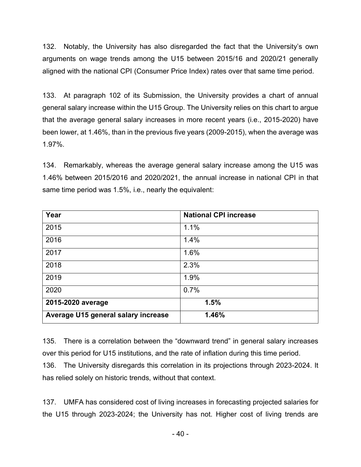132. Notably, the University has also disregarded the fact that the University's own arguments on wage trends among the U15 between 2015/16 and 2020/21 generally aligned with the national CPI (Consumer Price Index) rates over that same time period.

133. At paragraph 102 of its Submission, the University provides a chart of annual general salary increase within the U15 Group. The University relies on this chart to argue that the average general salary increases in more recent years (i.e., 2015-2020) have been lower, at 1.46%, than in the previous five years (2009-2015), when the average was 1.97%.

134. Remarkably, whereas the average general salary increase among the U15 was 1.46% between 2015/2016 and 2020/2021, the annual increase in national CPI in that same time period was 1.5%, i.e., nearly the equivalent:

| Year                                | <b>National CPI increase</b> |
|-------------------------------------|------------------------------|
| 2015                                | 1.1%                         |
| 2016                                | 1.4%                         |
| 2017                                | 1.6%                         |
| 2018                                | 2.3%                         |
| 2019                                | 1.9%                         |
| 2020                                | 0.7%                         |
| 2015-2020 average                   | 1.5%                         |
| Average U15 general salary increase | 1.46%                        |

135. There is a correlation between the "downward trend" in general salary increases over this period for U15 institutions, and the rate of inflation during this time period.

136. The University disregards this correlation in its projections through 2023-2024. It has relied solely on historic trends, without that context.

137. UMFA has considered cost of living increases in forecasting projected salaries for the U15 through 2023-2024; the University has not. Higher cost of living trends are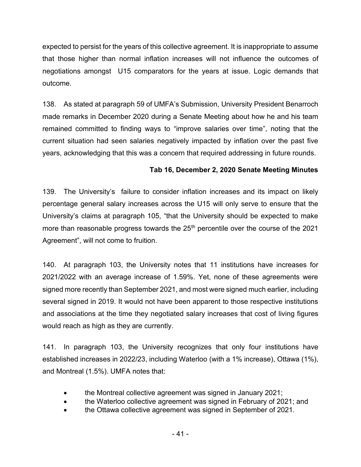expected to persist for the years of this collective agreement. It is inappropriate to assume that those higher than normal inflation increases will not influence the outcomes of negotiations amongst U15 comparators for the years at issue. Logic demands that outcome.

138. As stated at paragraph 59 of UMFA's Submission, University President Benarroch made remarks in December 2020 during a Senate Meeting about how he and his team remained committed to finding ways to "improve salaries over time", noting that the current situation had seen salaries negatively impacted by inflation over the past five years, acknowledging that this was a concern that required addressing in future rounds.

# **Tab 16, December 2, 2020 Senate Meeting Minutes**

139. The University's failure to consider inflation increases and its impact on likely percentage general salary increases across the U15 will only serve to ensure that the University's claims at paragraph 105, "that the University should be expected to make more than reasonable progress towards the  $25<sup>th</sup>$  percentile over the course of the 2021 Agreement", will not come to fruition.

140. At paragraph 103, the University notes that 11 institutions have increases for 2021/2022 with an average increase of 1.59%. Yet, none of these agreements were signed more recently than September 2021, and most were signed much earlier, including several signed in 2019. It would not have been apparent to those respective institutions and associations at the time they negotiated salary increases that cost of living figures would reach as high as they are currently.

141. In paragraph 103, the University recognizes that only four institutions have established increases in 2022/23, including Waterloo (with a 1% increase), Ottawa (1%), and Montreal (1.5%). UMFA notes that:

- the Montreal collective agreement was signed in January 2021;
- the Waterloo collective agreement was signed in February of 2021; and
- the Ottawa collective agreement was signed in September of 2021.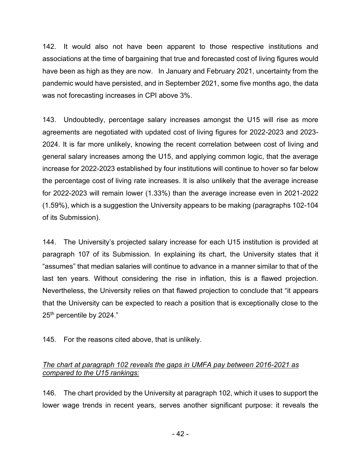142. It would also not have been apparent to those respective institutions and associations at the time of bargaining that true and forecasted cost of living figures would have been as high as they are now. In January and February 2021, uncertainty from the pandemic would have persisted, and in September 2021, some five months ago, the data was not forecasting increases in CPI above 3%.

143. Undoubtedly, percentage salary increases amongst the U15 will rise as more agreements are negotiated with updated cost of living figures for 2022-2023 and 2023- 2024. It is far more unlikely, knowing the recent correlation between cost of living and general salary increases among the U15, and applying common logic, that the average increase for 2022-2023 established by four institutions will continue to hover so far below the percentage cost of living rate increases. It is also unlikely that the average increase for 2022-2023 will remain lower (1.33%) than the average increase even in 2021-2022 (1.59%), which is a suggestion the University appears to be making (paragraphs 102-104 of its Submission).

144. The University's projected salary increase for each U15 institution is provided at paragraph 107 of its Submission. In explaining its chart, the University states that it "assumes" that median salaries will continue to advance in a manner similar to that of the last ten years. Without considering the rise in inflation, this is a flawed projection. Nevertheless, the University relies on that flawed projection to conclude that "it appears that the University can be expected to reach a position that is exceptionally close to the 25<sup>th</sup> percentile by 2024."

145. For the reasons cited above, that is unlikely.

# *The chart at paragraph 102 reveals the gaps in UMFA pay between 2016-2021 as compared to the U15 rankings:*

146. The chart provided by the University at paragraph 102, which it uses to support the lower wage trends in recent years, serves another significant purpose: it reveals the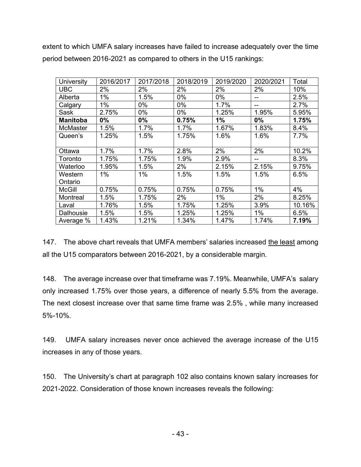extent to which UMFA salary increases have failed to increase adequately over the time period between 2016-2021 as compared to others in the U15 rankings:

| <b>University</b> | 2016/2017 | 2017/2018 | 2018/2019 | 2019/2020 | 2020/2021 | Total  |
|-------------------|-----------|-----------|-----------|-----------|-----------|--------|
| <b>UBC</b>        | 2%        | 2%        | 2%        | 2%        | 2%        | 10%    |
| Alberta           | 1%        | 1.5%      | $0\%$     | $0\%$     | --        | 2.5%   |
| Calgary           | 1%        | 0%        | 0%        | 1.7%      | --        | 2.7%   |
| Sask              | 2.75%     | 0%        | 0%        | 1.25%     | 1.95%     | 5.95%  |
| <b>Manitoba</b>   | 0%        | $0\%$     | 0.75%     | 1%        | $0\%$     | 1.75%  |
| <b>McMaster</b>   | 1.5%      | 1.7%      | 1.7%      | 1.67%     | 1.83%     | 8.4%   |
| Queen's           | 1.25%     | 1.5%      | 1.75%     | 1.6%      | 1.6%      | 7.7%   |
|                   |           |           |           |           |           |        |
| Ottawa            | 1.7%      | 1.7%      | 2.8%      | 2%        | 2%        | 10.2%  |
| Toronto           | 1.75%     | 1.75%     | 1.9%      | 2.9%      | --        | 8.3%   |
| Waterloo          | 1.95%     | 1.5%      | 2%        | 2.15%     | 2.15%     | 9.75%  |
| Western           | 1%        | 1%        | 1.5%      | 1.5%      | 1.5%      | 6.5%   |
| Ontario           |           |           |           |           |           |        |
| <b>McGill</b>     | 0.75%     | 0.75%     | 0.75%     | 0.75%     | 1%        | 4%     |
| Montreal          | 1.5%      | 1.75%     | 2%        | $1\%$     | 2%        | 8.25%  |
| Laval             | 1.76%     | 1.5%      | 1.75%     | 1.25%     | 3.9%      | 10.16% |
| Dalhousie         | 1.5%      | 1.5%      | 1.25%     | 1.25%     | 1%        | 6.5%   |
| Average %         | 1.43%     | 1.21%     | 1.34%     | 1.47%     | 1.74%     | 7.19%  |

147. The above chart reveals that UMFA members' salaries increased the least among all the U15 comparators between 2016-2021, by a considerable margin.

148. The average increase over that timeframe was 7.19%. Meanwhile, UMFA's salary only increased 1.75% over those years, a difference of nearly 5.5% from the average. The next closest increase over that same time frame was 2.5% , while many increased 5%-10%.

149. UMFA salary increases never once achieved the average increase of the U15 increases in any of those years.

150. The University's chart at paragraph 102 also contains known salary increases for 2021-2022. Consideration of those known increases reveals the following: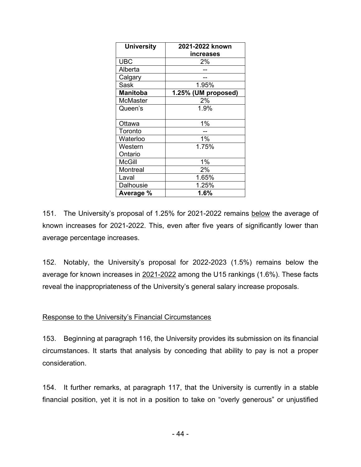| <b>University</b>  | 2021-2022 known     |  |  |
|--------------------|---------------------|--|--|
|                    | increases           |  |  |
| <b>UBC</b>         | 2%                  |  |  |
| Alberta            |                     |  |  |
| Calgary            |                     |  |  |
| Sask               | 1.95%               |  |  |
| <b>Manitoba</b>    | 1.25% (UM proposed) |  |  |
| <b>McMaster</b>    | 2%                  |  |  |
| Queen's            | 1.9%                |  |  |
|                    |                     |  |  |
| Ottawa             | $1\%$               |  |  |
| Toronto            |                     |  |  |
| Waterloo           | 1%                  |  |  |
| Western            | 1.75%               |  |  |
| Ontario            |                     |  |  |
| McGill             | 1%                  |  |  |
| Montreal           | 2%                  |  |  |
| Laval              | 1.65%               |  |  |
| 1.25%<br>Dalhousie |                     |  |  |
| Average %          | 1.6%                |  |  |

151. The University's proposal of 1.25% for 2021-2022 remains below the average of known increases for 2021-2022. This, even after five years of significantly lower than average percentage increases.

152. Notably, the University's proposal for 2022-2023 (1.5%) remains below the average for known increases in 2021-2022 among the U15 rankings (1.6%). These facts reveal the inappropriateness of the University's general salary increase proposals.

#### Response to the University's Financial Circumstances

153. Beginning at paragraph 116, the University provides its submission on its financial circumstances. It starts that analysis by conceding that ability to pay is not a proper consideration.

154. It further remarks, at paragraph 117, that the University is currently in a stable financial position, yet it is not in a position to take on "overly generous" or unjustified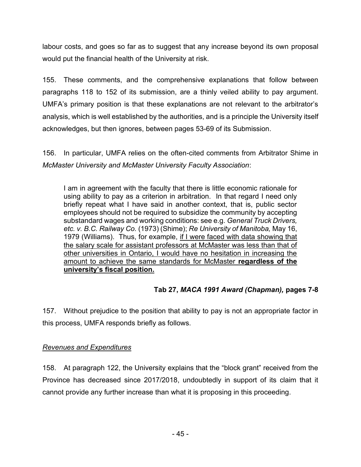labour costs, and goes so far as to suggest that any increase beyond its own proposal would put the financial health of the University at risk.

155. These comments, and the comprehensive explanations that follow between paragraphs 118 to 152 of its submission, are a thinly veiled ability to pay argument. UMFA's primary position is that these explanations are not relevant to the arbitrator's analysis, which is well established by the authorities, and is a principle the University itself acknowledges, but then ignores, between pages 53-69 of its Submission.

156. In particular, UMFA relies on the often-cited comments from Arbitrator Shime in *McMaster University and McMaster University Faculty Association*:

I am in agreement with the faculty that there is little economic rationale for using ability to pay as a criterion in arbitration. In that regard I need only briefly repeat what I have said in another context, that is, public sector employees should not be required to subsidize the community by accepting substandard wages and working conditions: see e.g. *General Truck Drivers, etc. v. B.C. Railway Co.* (1973) (Shime); *Re University of Manitoba,* May 16, 1979 (Williams). Thus, for example, if I were faced with data showing that the salary scale for assistant professors at McMaster was less than that of other universities in Ontario, I would have no hesitation in increasing the amount to achieve the same standards for McMaster **regardless of the university's fiscal position.**

# **Tab 27,** *MACA 1991 Award (Chapman),* **pages 7-8**

157. Without prejudice to the position that ability to pay is not an appropriate factor in this process, UMFA responds briefly as follows.

## *Revenues and Expenditures*

158. At paragraph 122, the University explains that the "block grant" received from the Province has decreased since 2017/2018, undoubtedly in support of its claim that it cannot provide any further increase than what it is proposing in this proceeding.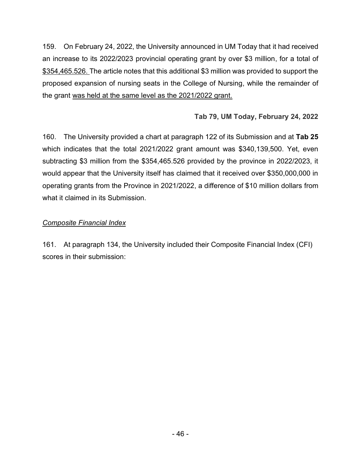159. On February 24, 2022, the University announced in UM Today that it had received an increase to its 2022/2023 provincial operating grant by over \$3 million, for a total of \$354,465.526. The article notes that this additional \$3 million was provided to support the proposed expansion of nursing seats in the College of Nursing, while the remainder of the grant was held at the same level as the 2021/2022 grant.

# **Tab 79, UM Today, February 24, 2022**

160. The University provided a chart at paragraph 122 of its Submission and at **Tab 25** which indicates that the total 2021/2022 grant amount was \$340,139,500. Yet, even subtracting \$3 million from the \$354,465.526 provided by the province in 2022/2023, it would appear that the University itself has claimed that it received over \$350,000,000 in operating grants from the Province in 2021/2022, a difference of \$10 million dollars from what it claimed in its Submission.

## *Composite Financial Index*

161. At paragraph 134, the University included their Composite Financial Index (CFI) scores in their submission: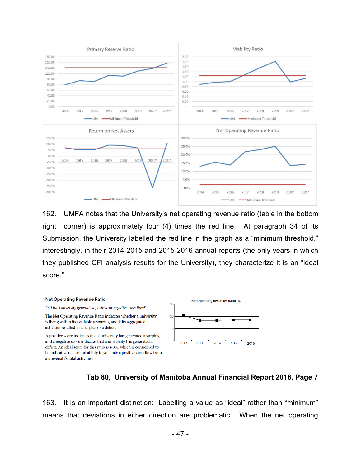

162. UMFA notes that the University's net operating revenue ratio (table in the bottom right corner) is approximately four (4) times the red line. At paragraph 34 of its Submission, the University labelled the red line in the graph as a "minimum threshold." interestingly, in their 2014-2015 and 2015-2016 annual reports (the only years in which they published CFI analysis results for the University), they characterize it is an "ideal score."



#### **Tab 80, University of Manitoba Annual Financial Report 2016, Page 7**

163. It is an important distinction: Labelling a value as "ideal" rather than "minimum" means that deviations in either direction are problematic. When the net operating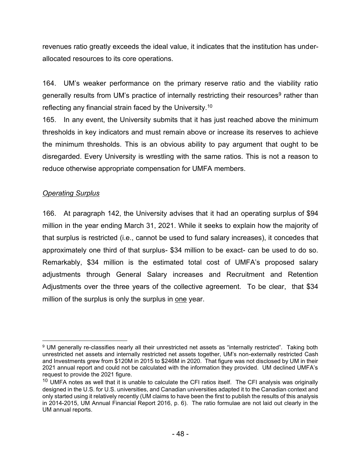revenues ratio greatly exceeds the ideal value, it indicates that the institution has underallocated resources to its core operations.

164. UM's weaker performance on the primary reserve ratio and the viability ratio generally results from UM's practice of internally restricting their resources<sup>9</sup> rather than reflecting any financial strain faced by the University.<sup>10</sup>

165. In any event, the University submits that it has just reached above the minimum thresholds in key indicators and must remain above or increase its reserves to achieve the minimum thresholds. This is an obvious ability to pay argument that ought to be disregarded. Every University is wrestling with the same ratios. This is not a reason to reduce otherwise appropriate compensation for UMFA members.

## *Operating Surplus*

166. At paragraph 142, the University advises that it had an operating surplus of \$94 million in the year ending March 31, 2021. While it seeks to explain how the majority of that surplus is restricted (i.e., cannot be used to fund salary increases), it concedes that approximately one third of that surplus- \$34 million to be exact- can be used to do so. Remarkably, \$34 million is the estimated total cost of UMFA's proposed salary adjustments through General Salary increases and Recruitment and Retention Adjustments over the three years of the collective agreement. To be clear, that \$34 million of the surplus is only the surplus in one year.

<sup>9</sup> UM generally re-classifies nearly all their unrestricted net assets as "internally restricted". Taking both unrestricted net assets and internally restricted net assets together, UM's non-externally restricted Cash and Investments grew from \$120M in 2015 to \$246M in 2020. That figure was not disclosed by UM in their 2021 annual report and could not be calculated with the information they provided. UM declined UMFA's request to provide the 2021 figure.

 $10$  UMFA notes as well that it is unable to calculate the CFI ratios itself. The CFI analysis was originally designed in the U.S. for U.S. universities, and Canadian universities adapted it to the Canadian context and only started using it relatively recently (UM claims to have been the first to publish the results of this analysis in 2014-2015, UM Annual Financial Report 2016, p. 6). The ratio formulae are not laid out clearly in the UM annual reports.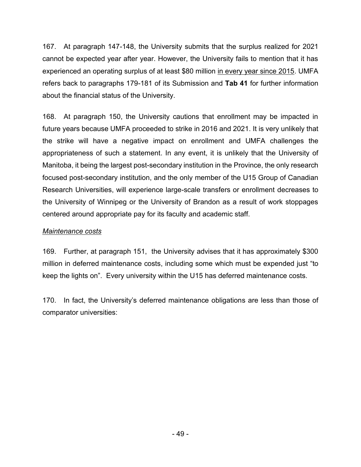167. At paragraph 147-148, the University submits that the surplus realized for 2021 cannot be expected year after year. However, the University fails to mention that it has experienced an operating surplus of at least \$80 million in every year since 2015. UMFA refers back to paragraphs 179-181 of its Submission and **Tab 41** for further information about the financial status of the University.

168. At paragraph 150, the University cautions that enrollment may be impacted in future years because UMFA proceeded to strike in 2016 and 2021. It is very unlikely that the strike will have a negative impact on enrollment and UMFA challenges the appropriateness of such a statement. In any event, it is unlikely that the University of Manitoba, it being the largest post-secondary institution in the Province, the only research focused post-secondary institution, and the only member of the U15 Group of Canadian Research Universities, will experience large-scale transfers or enrollment decreases to the University of Winnipeg or the University of Brandon as a result of work stoppages centered around appropriate pay for its faculty and academic staff.

## *Maintenance costs*

169. Further, at paragraph 151, the University advises that it has approximately \$300 million in deferred maintenance costs, including some which must be expended just "to keep the lights on". Every university within the U15 has deferred maintenance costs.

170. In fact, the University's deferred maintenance obligations are less than those of comparator universities: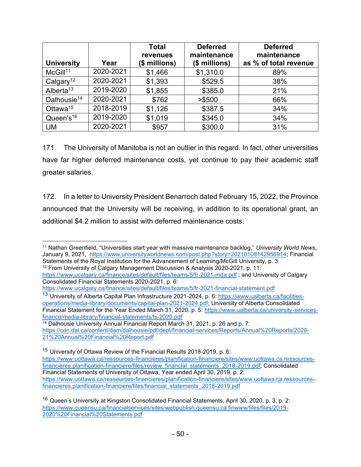| <b>University</b>       | Year      | <b>Total</b><br>revenues<br>(\$ millions) | <b>Deferred</b><br>maintenance<br>(\$ millions) | <b>Deferred</b><br>maintenance<br>as % of total revenue |
|-------------------------|-----------|-------------------------------------------|-------------------------------------------------|---------------------------------------------------------|
| McGill <sup>11</sup>    | 2020-2021 | \$1,466                                   | \$1,310.0                                       | 89%                                                     |
| Calgary <sup>12</sup>   | 2020-2021 | \$1,393                                   | \$529.5                                         | 38%                                                     |
| Alberta <sup>13</sup>   | 2019-2020 | \$1,855                                   | \$385.0                                         | 21%                                                     |
| Dalhousie <sup>14</sup> | 2020-2021 | \$762                                     | > \$500                                         | 66%                                                     |
| Ottawa <sup>15</sup>    | 2018-2019 | \$1,126                                   | \$387.5                                         | 34%                                                     |
| Queen's <sup>16</sup>   | 2019-2020 | \$1,019                                   | \$345.0                                         | 34%                                                     |
| <b>UM</b>               | 2020-2021 | \$957                                     | \$300.0                                         | 31%                                                     |

171. The University of Manitoba is not an outlier in this regard. In fact, other universities have far higher deferred maintenance costs, yet continue to pay their academic staff greater salaries.

172. In a letter to University President Benarroch dated February 15, 2022, the Province announced that the University will be receiving, in addition to its operational grant, an additional \$4.2 million to assist with deferred maintenance costs.

<sup>11</sup> Nathan Greenfield, "Universities start year with massive maintenance backlog," *University World News*, January 9, 2021, [https://www.universityworldnews.com/post.php?story=20210108142956914;](https://www.universityworldnews.com/post.php?story=20210108142956914) Financial Statements of the Royal Institution for the Advancement of Learning/McGill University, p. 3: <sup>12</sup> From University of Calgary Management Discussion & Analysis 2020-2021, p. 11:

<https://www.ucalgary.ca/finance/sites/default/files/teams/5/fr-2021-mda.pdf> ; and University of Calgary Consolidated Financial Statements 2020-2021, p. 6:

<https://www.ucalgary.ca/finance/sites/default/files/teams/5/fr-2021-financial-statement.pdf>

<sup>15</sup> University of Ottawa Review of the Financial Results 2018-2019, p. 6:

<sup>&</sup>lt;sup>13</sup> University of Alberta Capital Plan Infrastructure 2021-2024, p. 6: [https://www.ualberta.ca/facilities](https://www.ualberta.ca/facilities-operations/media-library/documents/capital-plan-2021-2024.pdf)[operations/media-library/documents/capital-plan-2021-2024.pdf;](https://www.ualberta.ca/facilities-operations/media-library/documents/capital-plan-2021-2024.pdf) University of Alberta Consolidated Financial Statement for the Year Ended March 31, 2020, p. 5: [https://www.ualberta.ca/university-services](https://www.ualberta.ca/university-services-finance/media-library/financial-statements/fs-2020.pdf)[finance/media-library/financial-statements/fs-2020.pdf](https://www.ualberta.ca/university-services-finance/media-library/financial-statements/fs-2020.pdf)

 $14$  Dalhousie University Annual Financial Report March 31, 2021, p. 26 and p. 7: [https://cdn.dal.ca/content/dam/dalhousie/pdf/dept/financial-services/Reports/Annual%20Reports/2020-](https://cdn.dal.ca/content/dam/dalhousie/pdf/dept/financial-services/Reports/Annual%20Reports/2020-21%20Annual%20Financial%20Report.pdf) [21%20Annual%20Financial%20Report.pdf](https://cdn.dal.ca/content/dam/dalhousie/pdf/dept/financial-services/Reports/Annual%20Reports/2020-21%20Annual%20Financial%20Report.pdf)

[https://www.uottawa.ca/ressources-financieres/planification-financiere/sites/www.uottawa.ca.ressources](https://www.uottawa.ca/ressources-financieres/planification-financiere/sites/www.uottawa.ca.ressources-financieres.planification-financiere/files/review_financial_statements_2018-2019.pdf)[financieres.planification-financiere/files/review\\_financial\\_statements\\_2018-2019.pdf;](https://www.uottawa.ca/ressources-financieres/planification-financiere/sites/www.uottawa.ca.ressources-financieres.planification-financiere/files/review_financial_statements_2018-2019.pdf) Consolidated Financial Statements of University of Ottawa, Year ended April 30, 2019, p. 2: [https://www.uottawa.ca/ressources-financieres/planification-financiere/sites/www.uottawa.ca.ressources](https://www.uottawa.ca/ressources-financieres/planification-financiere/sites/www.uottawa.ca.ressources-financieres.planification-financiere/files/financial_statements_2018-2019.pdf)[financieres.planification-financiere/files/financial\\_statements\\_2018-2019.pdf](https://www.uottawa.ca/ressources-financieres/planification-financiere/sites/www.uottawa.ca.ressources-financieres.planification-financiere/files/financial_statements_2018-2019.pdf)

<sup>&</sup>lt;sup>16</sup> Queen's University at Kingston Consolidated Financial Statements, April 30, 2020, p. 3, p. 2: [https://www.queensu.ca/financialservices/sites/webpublish.queensu.ca.finwww/files/files/2019-](https://www.queensu.ca/financialservices/sites/webpublish.queensu.ca.finwww/files/files/2019-2020%20Financial%20Statements.pdf) [2020%20Financial%20Statements.pdf](https://www.queensu.ca/financialservices/sites/webpublish.queensu.ca.finwww/files/files/2019-2020%20Financial%20Statements.pdf)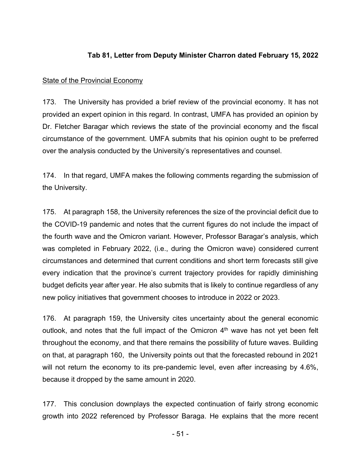## **Tab 81, Letter from Deputy Minister Charron dated February 15, 2022**

#### **State of the Provincial Economy**

173. The University has provided a brief review of the provincial economy. It has not provided an expert opinion in this regard. In contrast, UMFA has provided an opinion by Dr. Fletcher Baragar which reviews the state of the provincial economy and the fiscal circumstance of the government. UMFA submits that his opinion ought to be preferred over the analysis conducted by the University's representatives and counsel.

174. In that regard, UMFA makes the following comments regarding the submission of the University.

175. At paragraph 158, the University references the size of the provincial deficit due to the COVID-19 pandemic and notes that the current figures do not include the impact of the fourth wave and the Omicron variant. However, Professor Baragar's analysis, which was completed in February 2022, (i.e., during the Omicron wave) considered current circumstances and determined that current conditions and short term forecasts still give every indication that the province's current trajectory provides for rapidly diminishing budget deficits year after year. He also submits that is likely to continue regardless of any new policy initiatives that government chooses to introduce in 2022 or 2023.

176. At paragraph 159, the University cites uncertainty about the general economic outlook, and notes that the full impact of the Omicron  $4<sup>th</sup>$  wave has not yet been felt throughout the economy, and that there remains the possibility of future waves. Building on that, at paragraph 160, the University points out that the forecasted rebound in 2021 will not return the economy to its pre-pandemic level, even after increasing by 4.6%, because it dropped by the same amount in 2020.

177. This conclusion downplays the expected continuation of fairly strong economic growth into 2022 referenced by Professor Baraga. He explains that the more recent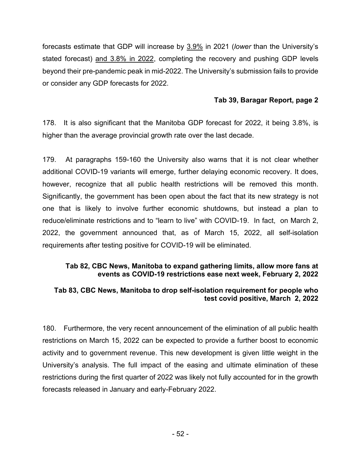forecasts estimate that GDP will increase by 3.9% in 2021 (*lower* than the University's stated forecast) and 3.8% in 2022, completing the recovery and pushing GDP levels beyond their pre-pandemic peak in mid-2022. The University's submission fails to provide or consider any GDP forecasts for 2022.

#### **Tab 39, Baragar Report, page 2**

178. It is also significant that the Manitoba GDP forecast for 2022, it being 3.8%, is higher than the average provincial growth rate over the last decade.

179. At paragraphs 159-160 the University also warns that it is not clear whether additional COVID-19 variants will emerge, further delaying economic recovery. It does, however, recognize that all public health restrictions will be removed this month. Significantly, the government has been open about the fact that its new strategy is not one that is likely to involve further economic shutdowns, but instead a plan to reduce/eliminate restrictions and to "learn to live" with COVID-19. In fact, on March 2, 2022, the government announced that, as of March 15, 2022, all self-isolation requirements after testing positive for COVID-19 will be eliminated.

#### **Tab 82, CBC News, Manitoba to expand gathering limits, allow more fans at events as COVID-19 restrictions ease next week, February 2, 2022**

#### **Tab 83, CBC News, Manitoba to drop self-isolation requirement for people who test covid positive, March 2, 2022**

180. Furthermore, the very recent announcement of the elimination of all public health restrictions on March 15, 2022 can be expected to provide a further boost to economic activity and to government revenue. This new development is given little weight in the University's analysis. The full impact of the easing and ultimate elimination of these restrictions during the first quarter of 2022 was likely not fully accounted for in the growth forecasts released in January and early-February 2022.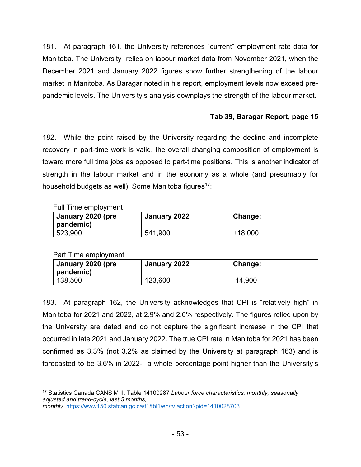181. At paragraph 161, the University references "current" employment rate data for Manitoba. The University relies on labour market data from November 2021, when the December 2021 and January 2022 figures show further strengthening of the labour market in Manitoba. As Baragar noted in his report, employment levels now exceed prepandemic levels. The University's analysis downplays the strength of the labour market.

# **Tab 39, Baragar Report, page 15**

182. While the point raised by the University regarding the decline and incomplete recovery in part-time work is valid, the overall changing composition of employment is toward more full time jobs as opposed to part-time positions. This is another indicator of strength in the labour market and in the economy as a whole (and presumably for household budgets as well). Some Manitoba figures<sup>17</sup>:

Full Time employment

| January 2020 (pre<br>pandemic) | January 2022 | Change:   |
|--------------------------------|--------------|-----------|
| 523,900                        | 541,900      | $+18,000$ |

Part Time employment

| January 2020 (pre<br>pandemic) | January 2022 | Change: |
|--------------------------------|--------------|---------|
| 138,500                        | 123,600      | -14,900 |

183. At paragraph 162, the University acknowledges that CPI is "relatively high" in Manitoba for 2021 and 2022, at 2.9% and 2.6% respectively. The figures relied upon by the University are dated and do not capture the significant increase in the CPI that occurred in late 2021 and January 2022. The true CPI rate in Manitoba for 2021 has been confirmed as 3.3% (not 3.2% as claimed by the University at paragraph 163) and is forecasted to be  $3.6\%$  in 2022- a whole percentage point higher than the University's

<sup>17</sup> Statistics Canada CANSIM II, Table 14100287 *Labour force characteristics, monthly, seasonally adjusted and trend-cycle, last 5 months, monthly*. <https://www150.statcan.gc.ca/t1/tbl1/en/tv.action?pid=1410028703>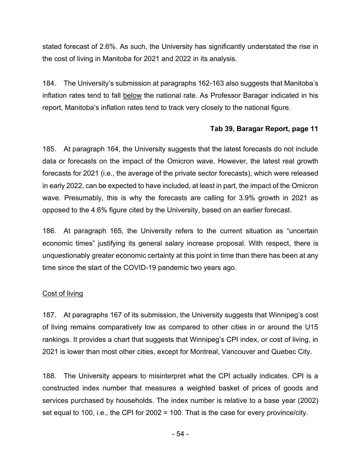stated forecast of 2.6%. As such, the University has significantly understated the rise in the cost of living in Manitoba for 2021 and 2022 in its analysis.

184. The University's submission at paragraphs 162-163 also suggests that Manitoba's inflation rates tend to fall below the national rate. As Professor Baragar indicated in his report, Manitoba's inflation rates tend to track very closely to the national figure.

#### **Tab 39, Baragar Report, page 11**

185. At paragraph 164, the University suggests that the latest forecasts do not include data or forecasts on the impact of the Omicron wave. However, the latest real growth forecasts for 2021 (i.e., the average of the private sector forecasts), which were released in early 2022, can be expected to have included, at least in part, the impact of the Omicron wave. Presumably, this is why the forecasts are calling for 3.9% growth in 2021 as opposed to the 4.6% figure cited by the University, based on an earlier forecast.

186. At paragraph 165, the University refers to the current situation as "uncertain economic times" justifying its general salary increase proposal. With respect, there is unquestionably greater economic certainty at this point in time than there has been at any time since the start of the COVID-19 pandemic two years ago.

#### Cost of living

187. At paragraphs 167 of its submission, the University suggests that Winnipeg's cost of living remains comparatively low as compared to other cities in or around the U15 rankings. It provides a chart that suggests that Winnipeg's CPI index, or cost of living, in 2021 is lower than most other cities, except for Montreal, Vancouver and Quebec City.

188. The University appears to misinterpret what the CPI actually indicates. CPI is a constructed index number that measures a weighted basket of prices of goods and services purchased by households. The index number is relative to a base year (2002) set equal to 100, i.e., the CPI for 2002 = 100. That is the case for every province/city.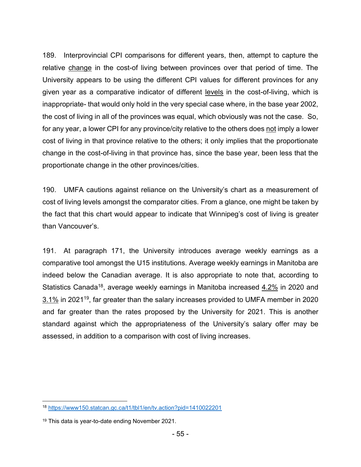189. Interprovincial CPI comparisons for different years, then, attempt to capture the relative change in the cost-of living between provinces over that period of time. The University appears to be using the different CPI values for different provinces for any given year as a comparative indicator of different levels in the cost-of-living, which is inappropriate- that would only hold in the very special case where, in the base year 2002, the cost of living in all of the provinces was equal, which obviously was not the case. So, for any year, a lower CPI for any province/city relative to the others does not imply a lower cost of living in that province relative to the others; it only implies that the proportionate change in the cost-of-living in that province has, since the base year, been less that the proportionate change in the other provinces/cities.

190. UMFA cautions against reliance on the University's chart as a measurement of cost of living levels amongst the comparator cities. From a glance, one might be taken by the fact that this chart would appear to indicate that Winnipeg's cost of living is greater than Vancouver's.

191. At paragraph 171, the University introduces average weekly earnings as a comparative tool amongst the U15 institutions. Average weekly earnings in Manitoba are indeed below the Canadian average. It is also appropriate to note that, according to Statistics Canada<sup>18</sup>, average weekly earnings in Manitoba increased 4.2% in 2020 and 3.1% in 2021<sup>19</sup>, far greater than the salary increases provided to UMFA member in 2020 and far greater than the rates proposed by the University for 2021. This is another standard against which the appropriateness of the University's salary offer may be assessed, in addition to a comparison with cost of living increases.

<sup>18</sup> <https://www150.statcan.gc.ca/t1/tbl1/en/tv.action?pid=1410022201>

<sup>&</sup>lt;sup>19</sup> This data is year-to-date ending November 2021.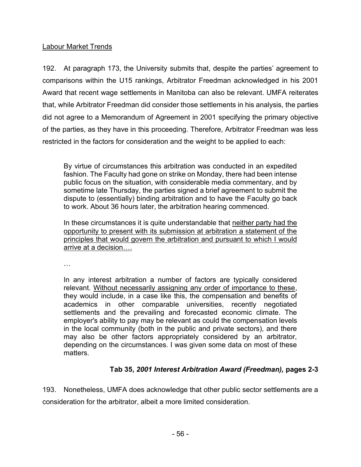## Labour Market Trends

192. At paragraph 173, the University submits that, despite the parties' agreement to comparisons within the U15 rankings, Arbitrator Freedman acknowledged in his 2001 Award that recent wage settlements in Manitoba can also be relevant. UMFA reiterates that, while Arbitrator Freedman did consider those settlements in his analysis, the parties did not agree to a Memorandum of Agreement in 2001 specifying the primary objective of the parties, as they have in this proceeding. Therefore, Arbitrator Freedman was less restricted in the factors for consideration and the weight to be applied to each:

By virtue of circumstances this arbitration was conducted in an expedited fashion. The Faculty had gone on strike on Monday, there had been intense public focus on the situation, with considerable media commentary, and by sometime late Thursday, the parties signed a brief agreement to submit the dispute to (essentially) binding arbitration and to have the Faculty go back to work. About 36 hours later, the arbitration hearing commenced.

In these circumstances it is quite understandable that neither party had the opportunity to present with its submission at arbitration a statement of the principles that would govern the arbitration and pursuant to which I would arrive at a decision….

…

In any interest arbitration a number of factors are typically considered relevant. Without necessarily assigning any order of importance to these, they would include, in a case like this, the compensation and benefits of academics in other comparable universities, recently negotiated settlements and the prevailing and forecasted economic climate. The employer's ability to pay may be relevant as could the compensation levels in the local community (both in the public and private sectors), and there may also be other factors appropriately considered by an arbitrator, depending on the circumstances. I was given some data on most of these matters.

# **Tab 35,** *2001 Interest Arbitration Award (Freedman),* **pages 2-3**

193. Nonetheless, UMFA does acknowledge that other public sector settlements are a consideration for the arbitrator, albeit a more limited consideration.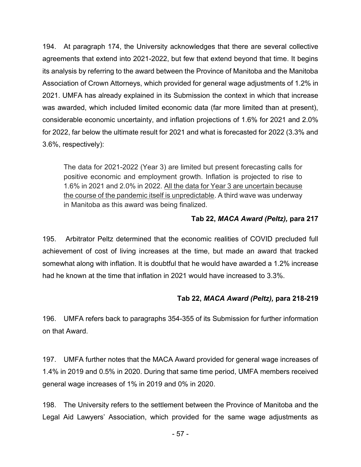194. At paragraph 174, the University acknowledges that there are several collective agreements that extend into 2021-2022, but few that extend beyond that time. It begins its analysis by referring to the award between the Province of Manitoba and the Manitoba Association of Crown Attorneys, which provided for general wage adjustments of 1.2% in 2021. UMFA has already explained in its Submission the context in which that increase was awarded, which included limited economic data (far more limited than at present), considerable economic uncertainty, and inflation projections of 1.6% for 2021 and 2.0% for 2022, far below the ultimate result for 2021 and what is forecasted for 2022 (3.3% and 3.6%, respectively):

The data for 2021-2022 (Year 3) are limited but present forecasting calls for positive economic and employment growth. Inflation is projected to rise to 1.6% in 2021 and 2.0% in 2022. All the data for Year 3 are uncertain because the course of the pandemic itself is unpredictable. A third wave was underway in Manitoba as this award was being finalized.

## **Tab 22,** *MACA Award (Peltz),* **para 217**

195. Arbitrator Peltz determined that the economic realities of COVID precluded full achievement of cost of living increases at the time, but made an award that tracked somewhat along with inflation. It is doubtful that he would have awarded a 1.2% increase had he known at the time that inflation in 2021 would have increased to 3.3%.

## **Tab 22,** *MACA Award (Peltz),* **para 218-219**

196. UMFA refers back to paragraphs 354-355 of its Submission for further information on that Award.

197. UMFA further notes that the MACA Award provided for general wage increases of 1.4% in 2019 and 0.5% in 2020. During that same time period, UMFA members received general wage increases of 1% in 2019 and 0% in 2020.

198. The University refers to the settlement between the Province of Manitoba and the Legal Aid Lawyers' Association, which provided for the same wage adjustments as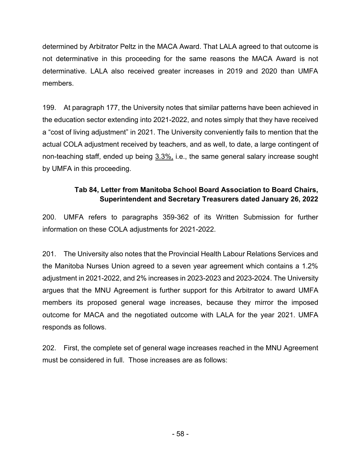determined by Arbitrator Peltz in the MACA Award. That LALA agreed to that outcome is not determinative in this proceeding for the same reasons the MACA Award is not determinative. LALA also received greater increases in 2019 and 2020 than UMFA members.

199. At paragraph 177, the University notes that similar patterns have been achieved in the education sector extending into 2021-2022, and notes simply that they have received a "cost of living adjustment" in 2021. The University conveniently fails to mention that the actual COLA adjustment received by teachers, and as well, to date, a large contingent of non-teaching staff, ended up being 3.3%, i.e., the same general salary increase sought by UMFA in this proceeding.

# **Tab 84, Letter from Manitoba School Board Association to Board Chairs, Superintendent and Secretary Treasurers dated January 26, 2022**

200. UMFA refers to paragraphs 359-362 of its Written Submission for further information on these COLA adjustments for 2021-2022.

201. The University also notes that the Provincial Health Labour Relations Services and the Manitoba Nurses Union agreed to a seven year agreement which contains a 1.2% adjustment in 2021-2022, and 2% increases in 2023-2023 and 2023-2024. The University argues that the MNU Agreement is further support for this Arbitrator to award UMFA members its proposed general wage increases, because they mirror the imposed outcome for MACA and the negotiated outcome with LALA for the year 2021. UMFA responds as follows.

202. First, the complete set of general wage increases reached in the MNU Agreement must be considered in full. Those increases are as follows: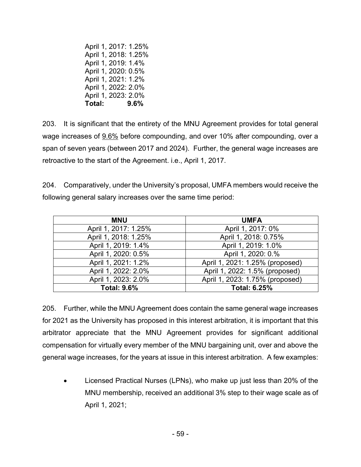April 1, 2017: 1.25% April 1, 2018: 1.25% April 1, 2019: 1.4% April 1, 2020: 0.5% April 1, 2021: 1.2% April 1, 2022: 2.0% April 1, 2023: 2.0% **Total: 9.6%**

203. It is significant that the entirety of the MNU Agreement provides for total general wage increases of 9.6% before compounding, and over 10% after compounding, over a span of seven years (between 2017 and 2024). Further, the general wage increases are retroactive to the start of the Agreement. i.e., April 1, 2017.

204. Comparatively, under the University's proposal, UMFA members would receive the following general salary increases over the same time period:

| <b>MNU</b>           | <b>UMFA</b>                     |
|----------------------|---------------------------------|
| April 1, 2017: 1.25% | April 1, 2017: 0%               |
| April 1, 2018: 1.25% | April 1, 2018: 0.75%            |
| April 1, 2019: 1.4%  | April 1, 2019: 1.0%             |
| April 1, 2020: 0.5%  | April 1, 2020: 0.%              |
| April 1, 2021: 1.2%  | April 1, 2021: 1.25% (proposed) |
| April 1, 2022: 2.0%  | April 1, 2022: 1.5% (proposed)  |
| April 1, 2023: 2.0%  | April 1, 2023: 1.75% (proposed) |
| <b>Total: 9.6%</b>   | <b>Total: 6.25%</b>             |

205. Further, while the MNU Agreement does contain the same general wage increases for 2021 as the University has proposed in this interest arbitration, it is important that this arbitrator appreciate that the MNU Agreement provides for significant additional compensation for virtually every member of the MNU bargaining unit, over and above the general wage increases, for the years at issue in this interest arbitration. A few examples:

• Licensed Practical Nurses (LPNs), who make up just less than 20% of the MNU membership, received an additional 3% step to their wage scale as of April 1, 2021;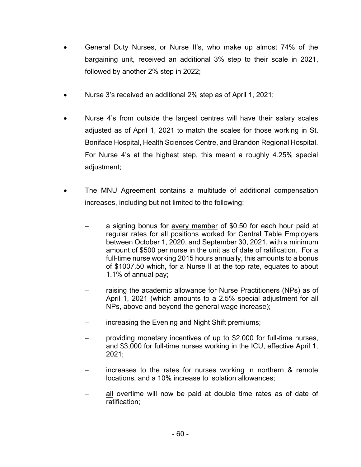- General Duty Nurses, or Nurse II's, who make up almost 74% of the bargaining unit, received an additional 3% step to their scale in 2021, followed by another 2% step in 2022;
- Nurse 3's received an additional 2% step as of April 1, 2021;
- Nurse 4's from outside the largest centres will have their salary scales adjusted as of April 1, 2021 to match the scales for those working in St. Boniface Hospital, Health Sciences Centre, and Brandon Regional Hospital. For Nurse 4's at the highest step, this meant a roughly 4.25% special adjustment;
- The MNU Agreement contains a multitude of additional compensation increases, including but not limited to the following:
	- a signing bonus for every member of \$0.50 for each hour paid at regular rates for all positions worked for Central Table Employers between October 1, 2020, and September 30, 2021, with a minimum amount of \$500 per nurse in the unit as of date of ratification. For a full-time nurse working 2015 hours annually, this amounts to a bonus of \$1007.50 which, for a Nurse II at the top rate, equates to about 1.1% of annual pay;
	- raising the academic allowance for Nurse Practitioners (NPs) as of April 1, 2021 (which amounts to a 2.5% special adjustment for all NPs, above and beyond the general wage increase);
	- increasing the Evening and Night Shift premiums;
	- − providing monetary incentives of up to \$2,000 for full-time nurses, and \$3,000 for full-time nurses working in the ICU, effective April 1, 2021;
	- increases to the rates for nurses working in northern & remote locations, and a 10% increase to isolation allowances;
	- all overtime will now be paid at double time rates as of date of ratification;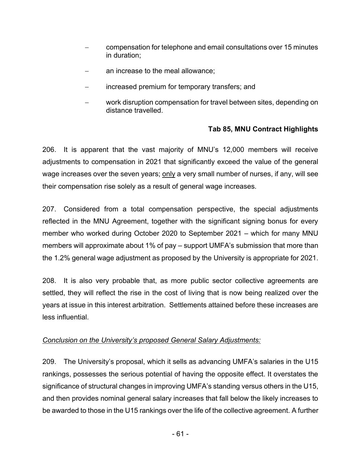- − compensation for telephone and email consultations over 15 minutes in duration;
- an increase to the meal allowance;
- increased premium for temporary transfers; and
- work disruption compensation for travel between sites, depending on distance travelled.

## **Tab 85, MNU Contract Highlights**

206. It is apparent that the vast majority of MNU's 12,000 members will receive adjustments to compensation in 2021 that significantly exceed the value of the general wage increases over the seven years; only a very small number of nurses, if any, will see their compensation rise solely as a result of general wage increases.

207. Considered from a total compensation perspective, the special adjustments reflected in the MNU Agreement, together with the significant signing bonus for every member who worked during October 2020 to September 2021 – which for many MNU members will approximate about 1% of pay – support UMFA's submission that more than the 1.2% general wage adjustment as proposed by the University is appropriate for 2021.

208. It is also very probable that, as more public sector collective agreements are settled, they will reflect the rise in the cost of living that is now being realized over the years at issue in this interest arbitration. Settlements attained before these increases are less influential.

## *Conclusion on the University's proposed General Salary Adjustments:*

209. The University's proposal, which it sells as advancing UMFA's salaries in the U15 rankings, possesses the serious potential of having the opposite effect. It overstates the significance of structural changes in improving UMFA's standing versus others in the U15, and then provides nominal general salary increases that fall below the likely increases to be awarded to those in the U15 rankings over the life of the collective agreement. A further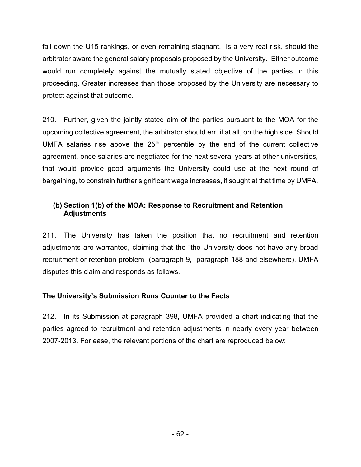fall down the U15 rankings, or even remaining stagnant, is a very real risk, should the arbitrator award the general salary proposals proposed by the University. Either outcome would run completely against the mutually stated objective of the parties in this proceeding. Greater increases than those proposed by the University are necessary to protect against that outcome.

210. Further, given the jointly stated aim of the parties pursuant to the MOA for the upcoming collective agreement, the arbitrator should err, if at all, on the high side. Should UMFA salaries rise above the  $25<sup>th</sup>$  percentile by the end of the current collective agreement, once salaries are negotiated for the next several years at other universities, that would provide good arguments the University could use at the next round of bargaining, to constrain further significant wage increases, if sought at that time by UMFA.

## **(b) Section 1(b) of the MOA: Response to Recruitment and Retention Adjustments**

211. The University has taken the position that no recruitment and retention adjustments are warranted, claiming that the "the University does not have any broad recruitment or retention problem" (paragraph 9, paragraph 188 and elsewhere). UMFA disputes this claim and responds as follows.

# **The University's Submission Runs Counter to the Facts**

212. In its Submission at paragraph 398, UMFA provided a chart indicating that the parties agreed to recruitment and retention adjustments in nearly every year between 2007-2013. For ease, the relevant portions of the chart are reproduced below: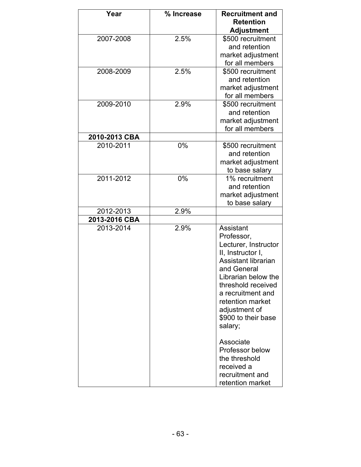| Year          | % Increase | <b>Recruitment and</b>                    |
|---------------|------------|-------------------------------------------|
|               |            | <b>Retention</b>                          |
|               |            | <b>Adjustment</b>                         |
| 2007-2008     | 2.5%       | \$500 recruitment                         |
|               |            | and retention                             |
|               |            | market adjustment                         |
|               |            | for all members                           |
| 2008-2009     | 2.5%       | \$500 recruitment                         |
|               |            | and retention                             |
|               |            | market adjustment                         |
|               |            | for all members                           |
| 2009-2010     | 2.9%       | \$500 recruitment                         |
|               |            | and retention                             |
|               |            | market adjustment                         |
|               |            | for all members                           |
| 2010-2013 CBA |            |                                           |
| 2010-2011     | 0%         | \$500 recruitment                         |
|               |            | and retention                             |
|               |            | market adjustment                         |
|               |            | to base salary                            |
| 2011-2012     | 0%         | 1% recruitment                            |
|               |            | and retention                             |
|               |            | market adjustment                         |
|               |            | to base salary                            |
| 2012-2013     | 2.9%       |                                           |
| 2013-2016 CBA |            |                                           |
| 2013-2014     | 2.9%       | Assistant                                 |
|               |            | Professor,                                |
|               |            | Lecturer, Instructor<br>II, Instructor I, |
|               |            | Assistant librarian                       |
|               |            | and General                               |
|               |            | Librarian below the                       |
|               |            | threshold received                        |
|               |            | a recruitment and                         |
|               |            | retention market                          |
|               |            | adjustment of                             |
|               |            | \$900 to their base                       |
|               |            | salary;                                   |
|               |            |                                           |
|               |            | Associate                                 |
|               |            | Professor below                           |
|               |            | the threshold                             |
|               |            | received a                                |
|               |            | recruitment and                           |
|               |            | retention market                          |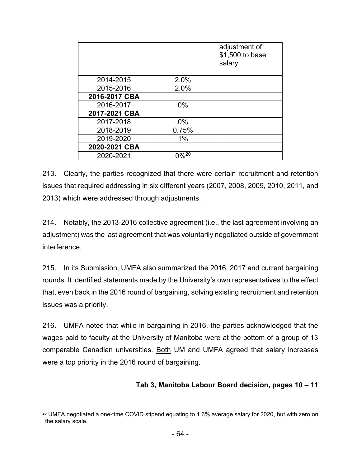|               |       | adjustment of<br>\$1,500 to base<br>salary |
|---------------|-------|--------------------------------------------|
| 2014-2015     | 2.0%  |                                            |
| 2015-2016     | 2.0%  |                                            |
| 2016-2017 CBA |       |                                            |
| 2016-2017     | $0\%$ |                                            |
| 2017-2021 CBA |       |                                            |
| 2017-2018     | 0%    |                                            |
| 2018-2019     | 0.75% |                                            |
| 2019-2020     | 1%    |                                            |
| 2020-2021 CBA |       |                                            |
| 2020-2021     | 0%20  |                                            |

213. Clearly, the parties recognized that there were certain recruitment and retention issues that required addressing in six different years (2007, 2008, 2009, 2010, 2011, and 2013) which were addressed through adjustments.

214. Notably, the 2013-2016 collective agreement (i.e., the last agreement involving an adjustment) was the last agreement that was voluntarily negotiated outside of government interference.

215. In its Submission, UMFA also summarized the 2016, 2017 and current bargaining rounds. It identified statements made by the University's own representatives to the effect that, even back in the 2016 round of bargaining, solving existing recruitment and retention issues was a priority.

216. UMFA noted that while in bargaining in 2016, the parties acknowledged that the wages paid to faculty at the University of Manitoba were at the bottom of a group of 13 comparable Canadian universities. Both UM and UMFA agreed that salary increases were a top priority in the 2016 round of bargaining.

## **Tab 3, Manitoba Labour Board decision, pages 10 – 11**

 $20$  UMFA negotiated a one-time COVID stipend equating to 1.6% average salary for 2020, but with zero on the salary scale.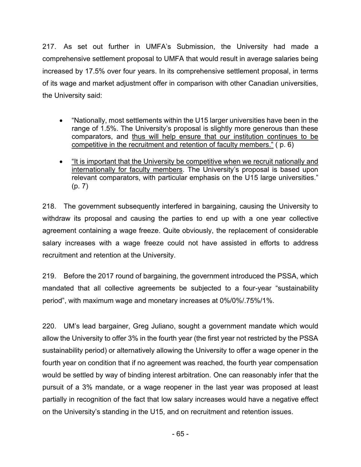217. As set out further in UMFA's Submission, the University had made a comprehensive settlement proposal to UMFA that would result in average salaries being increased by 17.5% over four years. In its comprehensive settlement proposal, in terms of its wage and market adjustment offer in comparison with other Canadian universities, the University said:

- "Nationally, most settlements within the U15 larger universities have been in the range of 1.5%. The University's proposal is slightly more generous than these comparators, and thus will help ensure that our institution continues to be competitive in the recruitment and retention of faculty members." ( p. 6)
- "It is important that the University be competitive when we recruit nationally and internationally for faculty members. The University's proposal is based upon relevant comparators, with particular emphasis on the U15 large universities." (p. 7)

218. The government subsequently interfered in bargaining, causing the University to withdraw its proposal and causing the parties to end up with a one year collective agreement containing a wage freeze. Quite obviously, the replacement of considerable salary increases with a wage freeze could not have assisted in efforts to address recruitment and retention at the University.

219. Before the 2017 round of bargaining, the government introduced the PSSA, which mandated that all collective agreements be subjected to a four-year "sustainability period", with maximum wage and monetary increases at 0%/0%/.75%/1%.

220. UM's lead bargainer, Greg Juliano, sought a government mandate which would allow the University to offer 3% in the fourth year (the first year not restricted by the PSSA sustainability period) or alternatively allowing the University to offer a wage opener in the fourth year on condition that if no agreement was reached, the fourth year compensation would be settled by way of binding interest arbitration. One can reasonably infer that the pursuit of a 3% mandate, or a wage reopener in the last year was proposed at least partially in recognition of the fact that low salary increases would have a negative effect on the University's standing in the U15, and on recruitment and retention issues.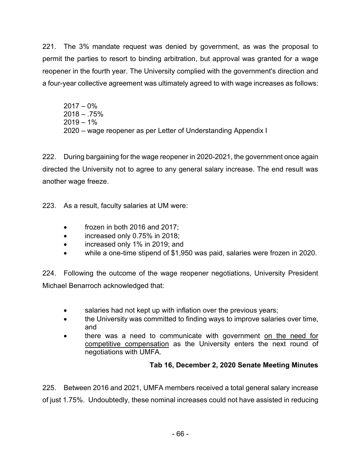221. The 3% mandate request was denied by government, as was the proposal to permit the parties to resort to binding arbitration, but approval was granted for a wage reopener in the fourth year. The University complied with the government's direction and a four-year collective agreement was ultimately agreed to with wage increases as follows:

 $2017 - 0\%$  $2018 - 0.75%$  $2019 - 1%$ 2020 – wage reopener as per Letter of Understanding Appendix I

222. During bargaining for the wage reopener in 2020-2021, the government once again directed the University not to agree to any general salary increase. The end result was another wage freeze.

223. As a result, faculty salaries at UM were:

- frozen in both 2016 and 2017;
- increased only 0.75% in 2018;
- increased only 1% in 2019; and
- while a one-time stipend of \$1,950 was paid, salaries were frozen in 2020.

224. Following the outcome of the wage reopener negotiations, University President Michael Benarroch acknowledged that:

- salaries had not kept up with inflation over the previous years;
- the University was committed to finding ways to improve salaries over time, and
- there was a need to communicate with government on the need for competitive compensation as the University enters the next round of negotiations with UMFA.

# **Tab 16, December 2, 2020 Senate Meeting Minutes**

225. Between 2016 and 2021, UMFA members received a total general salary increase of just 1.75%. Undoubtedly, these nominal increases could not have assisted in reducing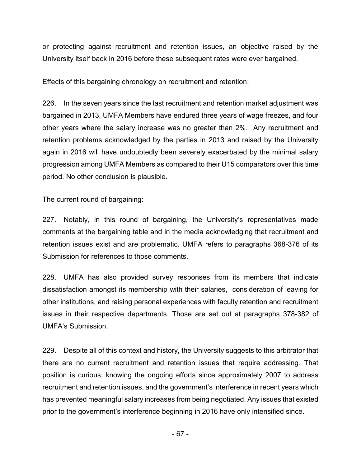or protecting against recruitment and retention issues, an objective raised by the University itself back in 2016 before these subsequent rates were ever bargained.

#### Effects of this bargaining chronology on recruitment and retention:

226. In the seven years since the last recruitment and retention market adjustment was bargained in 2013, UMFA Members have endured three years of wage freezes, and four other years where the salary increase was no greater than 2%. Any recruitment and retention problems acknowledged by the parties in 2013 and raised by the University again in 2016 will have undoubtedly been severely exacerbated by the minimal salary progression among UMFA Members as compared to their U15 comparators over this time period. No other conclusion is plausible.

#### The current round of bargaining:

227. Notably, in this round of bargaining, the University's representatives made comments at the bargaining table and in the media acknowledging that recruitment and retention issues exist and are problematic. UMFA refers to paragraphs 368-376 of its Submission for references to those comments.

228. UMFA has also provided survey responses from its members that indicate dissatisfaction amongst its membership with their salaries, consideration of leaving for other institutions, and raising personal experiences with faculty retention and recruitment issues in their respective departments. Those are set out at paragraphs 378-382 of UMFA's Submission.

229. Despite all of this context and history, the University suggests to this arbitrator that there are no current recruitment and retention issues that require addressing. That position is curious, knowing the ongoing efforts since approximately 2007 to address recruitment and retention issues, and the government's interference in recent years which has prevented meaningful salary increases from being negotiated. Any issues that existed prior to the government's interference beginning in 2016 have only intensified since.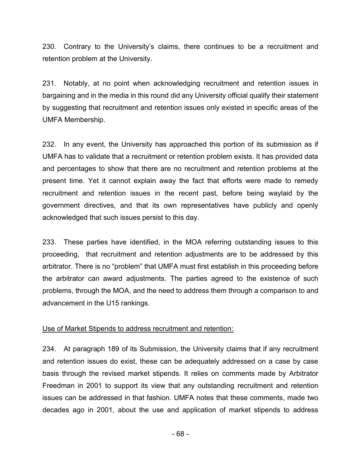230. Contrary to the University's claims, there continues to be a recruitment and retention problem at the University.

231. Notably, at no point when acknowledging recruitment and retention issues in bargaining and in the media in this round did any University official qualify their statement by suggesting that recruitment and retention issues only existed in specific areas of the UMFA Membership.

232. In any event, the University has approached this portion of its submission as if UMFA has to validate that a recruitment or retention problem exists. It has provided data and percentages to show that there are no recruitment and retention problems at the present time. Yet it cannot explain away the fact that efforts were made to remedy recruitment and retention issues in the recent past, before being waylaid by the government directives, and that its own representatives have publicly and openly acknowledged that such issues persist to this day.

233. These parties have identified, in the MOA referring outstanding issues to this proceeding, that recruitment and retention adjustments are to be addressed by this arbitrator. There is no "problem" that UMFA must first establish in this proceeding before the arbitrator can award adjustments. The parties agreed to the existence of such problems, through the MOA, and the need to address them through a comparison to and advancement in the U15 rankings.

#### Use of Market Stipends to address recruitment and retention:

234. At paragraph 189 of its Submission, the University claims that if any recruitment and retention issues do exist, these can be adequately addressed on a case by case basis through the revised market stipends. It relies on comments made by Arbitrator Freedman in 2001 to support its view that any outstanding recruitment and retention issues can be addressed in that fashion. UMFA notes that these comments, made two decades ago in 2001, about the use and application of market stipends to address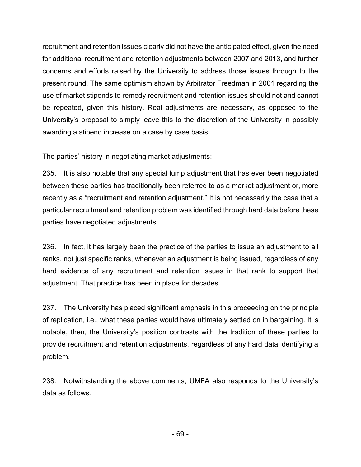recruitment and retention issues clearly did not have the anticipated effect, given the need for additional recruitment and retention adjustments between 2007 and 2013, and further concerns and efforts raised by the University to address those issues through to the present round. The same optimism shown by Arbitrator Freedman in 2001 regarding the use of market stipends to remedy recruitment and retention issues should not and cannot be repeated, given this history. Real adjustments are necessary, as opposed to the University's proposal to simply leave this to the discretion of the University in possibly awarding a stipend increase on a case by case basis.

## The parties' history in negotiating market adjustments:

235. It is also notable that any special lump adjustment that has ever been negotiated between these parties has traditionally been referred to as a market adjustment or, more recently as a "recruitment and retention adjustment." It is not necessarily the case that a particular recruitment and retention problem was identified through hard data before these parties have negotiated adjustments.

236. In fact, it has largely been the practice of the parties to issue an adjustment to all ranks, not just specific ranks, whenever an adjustment is being issued, regardless of any hard evidence of any recruitment and retention issues in that rank to support that adjustment. That practice has been in place for decades.

237. The University has placed significant emphasis in this proceeding on the principle of replication, i.e., what these parties would have ultimately settled on in bargaining. It is notable, then, the University's position contrasts with the tradition of these parties to provide recruitment and retention adjustments, regardless of any hard data identifying a problem.

238. Notwithstanding the above comments, UMFA also responds to the University's data as follows.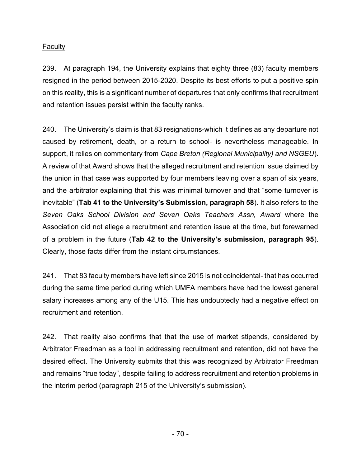#### Faculty

239. At paragraph 194, the University explains that eighty three (83) faculty members resigned in the period between 2015-2020. Despite its best efforts to put a positive spin on this reality, this is a significant number of departures that only confirms that recruitment and retention issues persist within the faculty ranks.

240. The University's claim is that 83 resignations-which it defines as any departure not caused by retirement, death, or a return to school- is nevertheless manageable. In support, it relies on commentary from *Cape Breton (Regional Municipality) and NSGEU*). A review of that Award shows that the alleged recruitment and retention issue claimed by the union in that case was supported by four members leaving over a span of six years, and the arbitrator explaining that this was minimal turnover and that "some turnover is inevitable" (**Tab 41 to the University's Submission, paragraph 58**). It also refers to the *Seven Oaks School Division and Seven Oaks Teachers Assn, Award* where the Association did not allege a recruitment and retention issue at the time, but forewarned of a problem in the future (**Tab 42 to the University's submission, paragraph 95**). Clearly, those facts differ from the instant circumstances.

241. That 83 faculty members have left since 2015 is not coincidental- that has occurred during the same time period during which UMFA members have had the lowest general salary increases among any of the U15. This has undoubtedly had a negative effect on recruitment and retention.

242. That reality also confirms that that the use of market stipends, considered by Arbitrator Freedman as a tool in addressing recruitment and retention, did not have the desired effect. The University submits that this was recognized by Arbitrator Freedman and remains "true today", despite failing to address recruitment and retention problems in the interim period (paragraph 215 of the University's submission).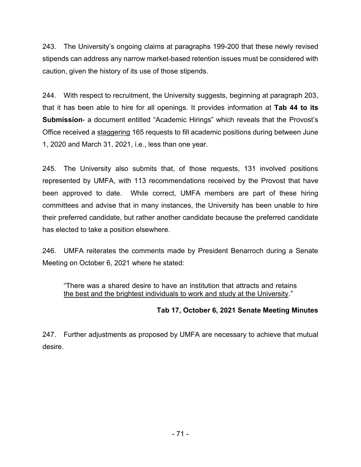243. The University's ongoing claims at paragraphs 199-200 that these newly revised stipends can address any narrow market-based retention issues must be considered with caution, given the history of its use of those stipends.

244. With respect to recruitment, the University suggests, beginning at paragraph 203, that it has been able to hire for all openings. It provides information at **Tab 44 to its Submission**- a document entitled "Academic Hirings" which reveals that the Provost's Office received a staggering 165 requests to fill academic positions during between June 1, 2020 and March 31, 2021, i.e., less than one year.

245. The University also submits that, of those requests, 131 involved positions represented by UMFA, with 113 recommendations received by the Provost that have been approved to date. While correct, UMFA members are part of these hiring committees and advise that in many instances, the University has been unable to hire their preferred candidate, but rather another candidate because the preferred candidate has elected to take a position elsewhere.

246. UMFA reiterates the comments made by President Benarroch during a Senate Meeting on October 6, 2021 where he stated:

"There was a shared desire to have an institution that attracts and retains the best and the brightest individuals to work and study at the University."

# **Tab 17, October 6, 2021 Senate Meeting Minutes**

247. Further adjustments as proposed by UMFA are necessary to achieve that mutual desire.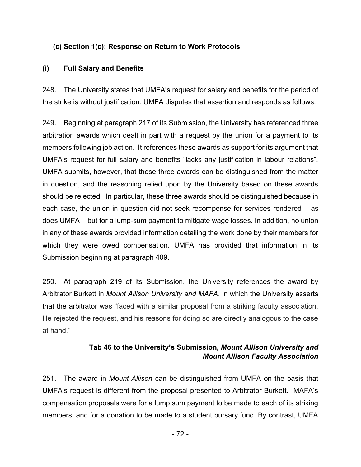## **(c) Section 1(c): Response on Return to Work Protocols**

## **(i) Full Salary and Benefits**

248. The University states that UMFA's request for salary and benefits for the period of the strike is without justification. UMFA disputes that assertion and responds as follows.

249. Beginning at paragraph 217 of its Submission, the University has referenced three arbitration awards which dealt in part with a request by the union for a payment to its members following job action. It references these awards as support for its argument that UMFA's request for full salary and benefits "lacks any justification in labour relations". UMFA submits, however, that these three awards can be distinguished from the matter in question, and the reasoning relied upon by the University based on these awards should be rejected. In particular, these three awards should be distinguished because in each case, the union in question did not seek recompense for services rendered – as does UMFA – but for a lump-sum payment to mitigate wage losses. In addition, no union in any of these awards provided information detailing the work done by their members for which they were owed compensation. UMFA has provided that information in its Submission beginning at paragraph 409.

250. At paragraph 219 of its Submission, the University references the award by Arbitrator Burkett in *Mount Allison University and MAFA*, in which the University asserts that the arbitrator was "faced with a similar proposal from a striking faculty association. He rejected the request, and his reasons for doing so are directly analogous to the case at hand."

# **Tab 46 to the University's Submission,** *Mount Allison University and Mount Allison Faculty Association*

251. The award in *Mount Allison* can be distinguished from UMFA on the basis that UMFA's request is different from the proposal presented to Arbitrator Burkett. MAFA's compensation proposals were for a lump sum payment to be made to each of its striking members, and for a donation to be made to a student bursary fund. By contrast, UMFA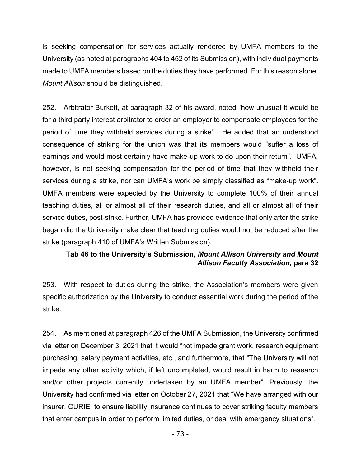is seeking compensation for services actually rendered by UMFA members to the University (as noted at paragraphs 404 to 452 of its Submission), with individual payments made to UMFA members based on the duties they have performed. For this reason alone, *Mount Allison* should be distinguished.

252. Arbitrator Burkett, at paragraph 32 of his award, noted "how unusual it would be for a third party interest arbitrator to order an employer to compensate employees for the period of time they withheld services during a strike". He added that an understood consequence of striking for the union was that its members would "suffer a loss of earnings and would most certainly have make-up work to do upon their return". UMFA, however, is not seeking compensation for the period of time that they withheld their services during a strike, nor can UMFA's work be simply classified as "make-up work". UMFA members were expected by the University to complete 100% of their annual teaching duties, all or almost all of their research duties, and all or almost all of their service duties, post-strike. Further, UMFA has provided evidence that only after the strike began did the University make clear that teaching duties would not be reduced after the strike (paragraph 410 of UMFA's Written Submission).

## **Tab 46 to the University's Submission,** *Mount Allison University and Mount Allison Faculty Association,* **para 32**

253. With respect to duties during the strike, the Association's members were given specific authorization by the University to conduct essential work during the period of the strike.

254. As mentioned at paragraph 426 of the UMFA Submission, the University confirmed via letter on December 3, 2021 that it would "not impede grant work, research equipment purchasing, salary payment activities, etc., and furthermore, that "The University will not impede any other activity which, if left uncompleted, would result in harm to research and/or other projects currently undertaken by an UMFA member". Previously, the University had confirmed via letter on October 27, 2021 that "We have arranged with our insurer, CURIE, to ensure liability insurance continues to cover striking faculty members that enter campus in order to perform limited duties, or deal with emergency situations".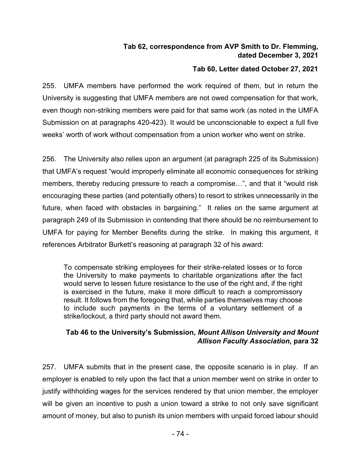## **Tab 62, correspondence from AVP Smith to Dr. Flemming, dated December 3, 2021**

## **Tab 60, Letter dated October 27, 2021**

255. UMFA members have performed the work required of them, but in return the University is suggesting that UMFA members are not owed compensation for that work, even though non-striking members were paid for that same work (as noted in the UMFA Submission on at paragraphs 420-423). It would be unconscionable to expect a full five weeks' worth of work without compensation from a union worker who went on strike.

256. The University also relies upon an argument (at paragraph 225 of its Submission) that UMFA's request "would improperly eliminate all economic consequences for striking members, thereby reducing pressure to reach a compromise…", and that it "would risk encouraging these parties (and potentially others) to resort to strikes unnecessarily in the future, when faced with obstacles in bargaining." It relies on the same argument at paragraph 249 of its Submission in contending that there should be no reimbursement to UMFA for paying for Member Benefits during the strike. In making this argument, it references Arbitrator Burkett's reasoning at paragraph 32 of his award:

To compensate striking employees for their strike-related losses or to force the University to make payments to charitable organizations after the fact would serve to lessen future resistance to the use of the right and, if the right is exercised in the future, make it more difficult to reach a compromissory result. It follows from the foregoing that, while parties themselves may choose to include such payments in the terms of a voluntary settlement of a strike/lockout, a third party should not award them.

## **Tab 46 to the University's Submission,** *Mount Allison University and Mount Allison Faculty Association,* **para 32**

257. UMFA submits that in the present case, the opposite scenario is in play. If an employer is enabled to rely upon the fact that a union member went on strike in order to justify withholding wages for the services rendered by that union member, the employer will be given an incentive to push a union toward a strike to not only save significant amount of money, but also to punish its union members with unpaid forced labour should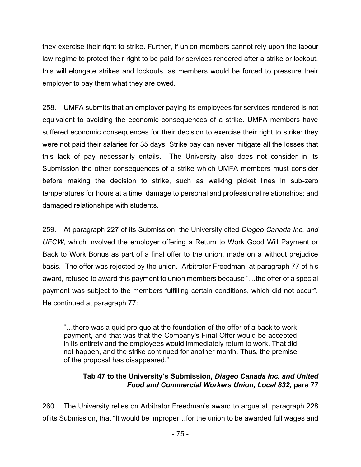they exercise their right to strike. Further, if union members cannot rely upon the labour law regime to protect their right to be paid for services rendered after a strike or lockout, this will elongate strikes and lockouts, as members would be forced to pressure their employer to pay them what they are owed.

258. UMFA submits that an employer paying its employees for services rendered is not equivalent to avoiding the economic consequences of a strike. UMFA members have suffered economic consequences for their decision to exercise their right to strike: they were not paid their salaries for 35 days. Strike pay can never mitigate all the losses that this lack of pay necessarily entails. The University also does not consider in its Submission the other consequences of a strike which UMFA members must consider before making the decision to strike, such as walking picket lines in sub-zero temperatures for hours at a time; damage to personal and professional relationships; and damaged relationships with students.

259. At paragraph 227 of its Submission, the University cited *Diageo Canada Inc. and UFCW*, which involved the employer offering a Return to Work Good Will Payment or Back to Work Bonus as part of a final offer to the union, made on a without prejudice basis. The offer was rejected by the union. Arbitrator Freedman, at paragraph 77 of his award, refused to award this payment to union members because "…the offer of a special payment was subject to the members fulfilling certain conditions, which did not occur". He continued at paragraph 77:

"…there was a quid pro quo at the foundation of the offer of a back to work payment, and that was that the Company's Final Offer would be accepted in its entirety and the employees would immediately return to work. That did not happen, and the strike continued for another month. Thus, the premise of the proposal has disappeared."

## **Tab 47 to the University's Submission,** *Diageo Canada Inc. and United Food and Commercial Workers Union, Local 832,* **para 77**

260. The University relies on Arbitrator Freedman's award to argue at, paragraph 228 of its Submission, that "It would be improper…for the union to be awarded full wages and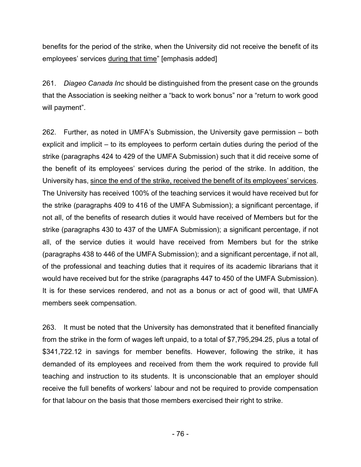benefits for the period of the strike, when the University did not receive the benefit of its employees' services during that time" [emphasis added]

261. *Diageo Canada Inc* should be distinguished from the present case on the grounds that the Association is seeking neither a "back to work bonus" nor a "return to work good will payment".

262. Further, as noted in UMFA's Submission, the University gave permission – both explicit and implicit – to its employees to perform certain duties during the period of the strike (paragraphs 424 to 429 of the UMFA Submission) such that it did receive some of the benefit of its employees' services during the period of the strike. In addition, the University has, since the end of the strike, received the benefit of its employees' services. The University has received 100% of the teaching services it would have received but for the strike (paragraphs 409 to 416 of the UMFA Submission); a significant percentage, if not all, of the benefits of research duties it would have received of Members but for the strike (paragraphs 430 to 437 of the UMFA Submission); a significant percentage, if not all, of the service duties it would have received from Members but for the strike (paragraphs 438 to 446 of the UMFA Submission); and a significant percentage, if not all, of the professional and teaching duties that it requires of its academic librarians that it would have received but for the strike (paragraphs 447 to 450 of the UMFA Submission). It is for these services rendered, and not as a bonus or act of good will, that UMFA members seek compensation.

263. It must be noted that the University has demonstrated that it benefited financially from the strike in the form of wages left unpaid, to a total of \$7,795,294.25, plus a total of \$341,722.12 in savings for member benefits. However, following the strike, it has demanded of its employees and received from them the work required to provide full teaching and instruction to its students. It is unconscionable that an employer should receive the full benefits of workers' labour and not be required to provide compensation for that labour on the basis that those members exercised their right to strike.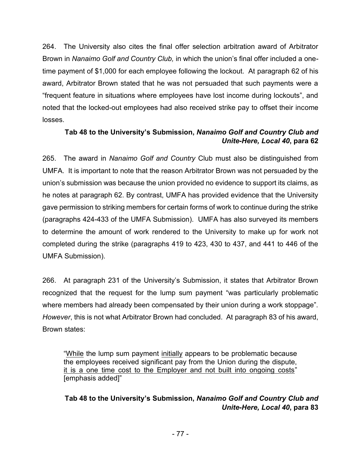264. The University also cites the final offer selection arbitration award of Arbitrator Brown in *Nanaimo Golf and Country Club,* in which the union's final offer included a onetime payment of \$1,000 for each employee following the lockout. At paragraph 62 of his award, Arbitrator Brown stated that he was not persuaded that such payments were a "frequent feature in situations where employees have lost income during lockouts", and noted that the locked-out employees had also received strike pay to offset their income losses.

## **Tab 48 to the University's Submission,** *Nanaimo Golf and Country Club and Unite-Here, Local 40***, para 62**

265. The award in *Nanaimo Golf and Country* Club must also be distinguished from UMFA. It is important to note that the reason Arbitrator Brown was not persuaded by the union's submission was because the union provided no evidence to support its claims, as he notes at paragraph 62. By contrast, UMFA has provided evidence that the University gave permission to striking members for certain forms of work to continue during the strike (paragraphs 424-433 of the UMFA Submission). UMFA has also surveyed its members to determine the amount of work rendered to the University to make up for work not completed during the strike (paragraphs 419 to 423, 430 to 437, and 441 to 446 of the UMFA Submission).

266. At paragraph 231 of the University's Submission, it states that Arbitrator Brown recognized that the request for the lump sum payment "was particularly problematic where members had already been compensated by their union during a work stoppage". *However*, this is not what Arbitrator Brown had concluded. At paragraph 83 of his award, Brown states:

"While the lump sum payment initially appears to be problematic because the employees received significant pay from the Union during the dispute, it is a one time cost to the Employer and not built into ongoing costs" [emphasis added]"

## **Tab 48 to the University's Submission,** *Nanaimo Golf and Country Club and Unite-Here, Local 40***, para 83**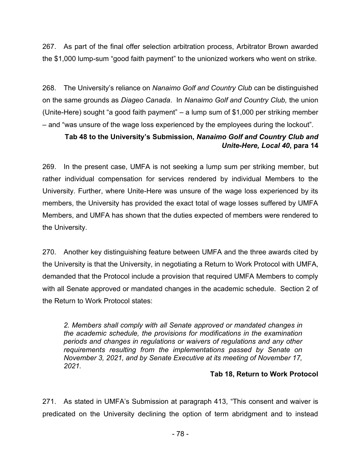267. As part of the final offer selection arbitration process, Arbitrator Brown awarded the \$1,000 lump-sum "good faith payment" to the unionized workers who went on strike.

268. The University's reliance on *Nanaimo Golf and Country Club* can be distinguished on the same grounds as *Diageo Canada*. In *Nanaimo Golf and Country Club,* the union (Unite-Here) sought "a good faith payment" – a lump sum of \$1,000 per striking member – and "was unsure of the wage loss experienced by the employees during the lockout".

## **Tab 48 to the University's Submission,** *Nanaimo Golf and Country Club and Unite-Here, Local 40***, para 14**

269. In the present case, UMFA is not seeking a lump sum per striking member, but rather individual compensation for services rendered by individual Members to the University. Further, where Unite-Here was unsure of the wage loss experienced by its members, the University has provided the exact total of wage losses suffered by UMFA Members, and UMFA has shown that the duties expected of members were rendered to the University.

270. Another key distinguishing feature between UMFA and the three awards cited by the University is that the University, in negotiating a Return to Work Protocol with UMFA, demanded that the Protocol include a provision that required UMFA Members to comply with all Senate approved or mandated changes in the academic schedule. Section 2 of the Return to Work Protocol states:

*2. Members shall comply with all Senate approved or mandated changes in the academic schedule, the provisions for modifications in the examination periods and changes in regulations or waivers of regulations and any other requirements resulting from the implementations passed by Senate on November 3, 2021, and by Senate Executive at its meeting of November 17, 2021.*

#### **Tab 18, Return to Work Protocol**

271. As stated in UMFA's Submission at paragraph 413, "This consent and waiver is predicated on the University declining the option of term abridgment and to instead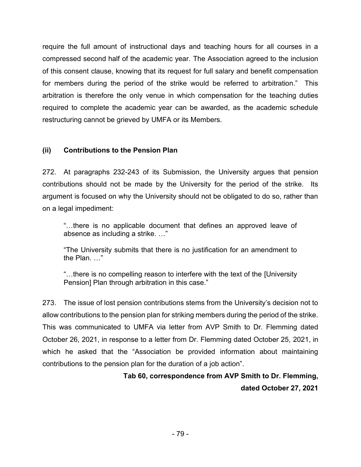require the full amount of instructional days and teaching hours for all courses in a compressed second half of the academic year. The Association agreed to the inclusion of this consent clause, knowing that its request for full salary and benefit compensation for members during the period of the strike would be referred to arbitration." This arbitration is therefore the only venue in which compensation for the teaching duties required to complete the academic year can be awarded, as the academic schedule restructuring cannot be grieved by UMFA or its Members.

## **(ii) Contributions to the Pension Plan**

272. At paragraphs 232-243 of its Submission, the University argues that pension contributions should not be made by the University for the period of the strike. Its argument is focused on why the University should not be obligated to do so, rather than on a legal impediment:

"…there is no applicable document that defines an approved leave of absence as including a strike. …"

"The University submits that there is no justification for an amendment to the Plan. …"

"…there is no compelling reason to interfere with the text of the [University Pension] Plan through arbitration in this case."

273. The issue of lost pension contributions stems from the University's decision not to allow contributions to the pension plan for striking members during the period of the strike. This was communicated to UMFA via letter from AVP Smith to Dr. Flemming dated October 26, 2021, in response to a letter from Dr. Flemming dated October 25, 2021, in which he asked that the "Association be provided information about maintaining contributions to the pension plan for the duration of a job action".

# **Tab 60, correspondence from AVP Smith to Dr. Flemming, dated October 27, 2021**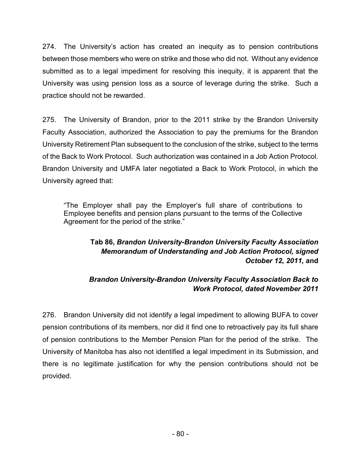274. The University's action has created an inequity as to pension contributions between those members who were on strike and those who did not. Without any evidence submitted as to a legal impediment for resolving this inequity, it is apparent that the University was using pension loss as a source of leverage during the strike. Such a practice should not be rewarded.

275. The University of Brandon, prior to the 2011 strike by the Brandon University Faculty Association, authorized the Association to pay the premiums for the Brandon University Retirement Plan subsequent to the conclusion of the strike, subject to the terms of the Back to Work Protocol. Such authorization was contained in a Job Action Protocol. Brandon University and UMFA later negotiated a Back to Work Protocol, in which the University agreed that:

"The Employer shall pay the Employer's full share of contributions to Employee benefits and pension plans pursuant to the terms of the Collective Agreement for the period of the strike."

# **Tab 86,** *Brandon University-Brandon University Faculty Association Memorandum of Understanding and Job Action Protocol, signed October 12, 2011,* **and**

# *Brandon University-Brandon University Faculty Association Back to Work Protocol, dated November 2011*

276. Brandon University did not identify a legal impediment to allowing BUFA to cover pension contributions of its members, nor did it find one to retroactively pay its full share of pension contributions to the Member Pension Plan for the period of the strike. The University of Manitoba has also not identified a legal impediment in its Submission, and there is no legitimate justification for why the pension contributions should not be provided.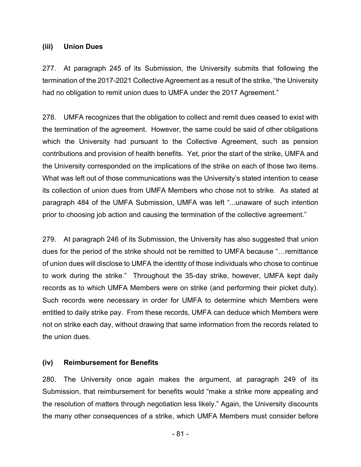#### **(iii) Union Dues**

277. At paragraph 245 of its Submission, the University submits that following the termination of the 2017-2021 Collective Agreement as a result of the strike, "the University had no obligation to remit union dues to UMFA under the 2017 Agreement."

278. UMFA recognizes that the obligation to collect and remit dues ceased to exist with the termination of the agreement. However, the same could be said of other obligations which the University had pursuant to the Collective Agreement, such as pension contributions and provision of health benefits. Yet, prior the start of the strike, UMFA and the University corresponded on the implications of the strike on each of those two items. What was left out of those communications was the University's stated intention to cease its collection of union dues from UMFA Members who chose not to strike. As stated at paragraph 484 of the UMFA Submission, UMFA was left "...unaware of such intention prior to choosing job action and causing the termination of the collective agreement."

279. At paragraph 246 of its Submission, the University has also suggested that union dues for the period of the strike should not be remitted to UMFA because "…remittance of union dues will disclose to UMFA the identity of those individuals who chose to continue to work during the strike." Throughout the 35-day strike, however, UMFA kept daily records as to which UMFA Members were on strike (and performing their picket duty). Such records were necessary in order for UMFA to determine which Members were entitled to daily strike pay. From these records, UMFA can deduce which Members were not on strike each day, without drawing that same information from the records related to the union dues.

#### **(iv) Reimbursement for Benefits**

280. The University once again makes the argument, at paragraph 249 of its Submission, that reimbursement for benefits would "make a strike more appealing and the resolution of matters through negotiation less likely." Again, the University discounts the many other consequences of a strike, which UMFA Members must consider before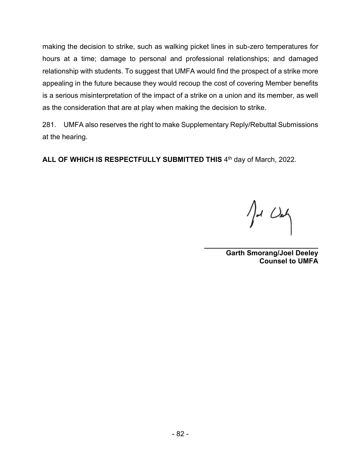making the decision to strike, such as walking picket lines in sub-zero temperatures for hours at a time; damage to personal and professional relationships; and damaged relationship with students. To suggest that UMFA would find the prospect of a strike more appealing in the future because they would recoup the cost of covering Member benefits is a serious misinterpretation of the impact of a strike on a union and its member, as well as the consideration that are at play when making the decision to strike.

281. UMFA also reserves the right to make Supplementary Reply/Rebuttal Submissions at the hearing.

ALL OF WHICH IS RESPECTFULLY SUBMITTED THIS 4<sup>th</sup> day of March, 2022.

 $\int d$  Deh

**\_\_\_\_\_\_\_\_\_\_\_\_\_\_\_\_\_\_\_\_\_\_\_\_\_\_\_\_\_ Garth Smorang/Joel Deeley Counsel to UMFA**